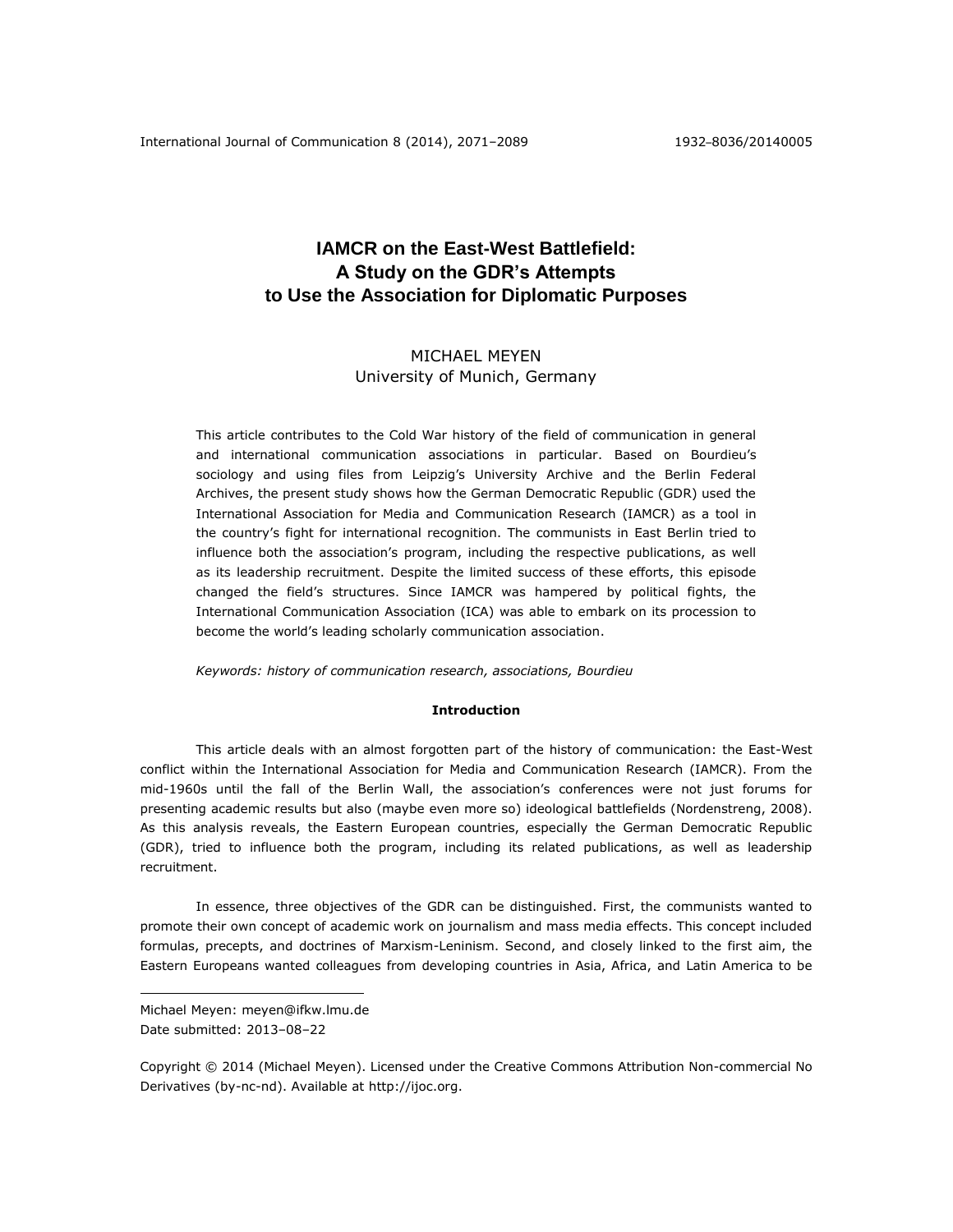# **IAMCR on the East-West Battlefield: A Study on the GDR's Attempts to Use the Association for Diplomatic Purposes**

# MICHAEL MEYEN University of Munich, Germany

This article contributes to the Cold War history of the field of communication in general and international communication associations in particular. Based on Bourdieu's sociology and using files from Leipzig's University Archive and the Berlin Federal Archives, the present study shows how the German Democratic Republic (GDR) used the International Association for Media and Communication Research (IAMCR) as a tool in the country's fight for international recognition. The communists in East Berlin tried to influence both the association's program, including the respective publications, as well as its leadership recruitment. Despite the limited success of these efforts, this episode changed the field's structures. Since IAMCR was hampered by political fights, the International Communication Association (ICA) was able to embark on its procession to become the world's leading scholarly communication association.

*Keywords: history of communication research, associations, Bourdieu*

### **Introduction**

This article deals with an almost forgotten part of the history of communication: the East-West conflict within the International Association for Media and Communication Research (IAMCR). From the mid-1960s until the fall of the Berlin Wall, the association's conferences were not just forums for presenting academic results but also (maybe even more so) ideological battlefields (Nordenstreng, 2008). As this analysis reveals, the Eastern European countries, especially the German Democratic Republic (GDR), tried to influence both the program, including its related publications, as well as leadership recruitment.

In essence, three objectives of the GDR can be distinguished. First, the communists wanted to promote their own concept of academic work on journalism and mass media effects. This concept included formulas, precepts, and doctrines of Marxism-Leninism. Second, and closely linked to the first aim, the Eastern Europeans wanted colleagues from developing countries in Asia, Africa, and Latin America to be

 $\overline{a}$ 

Michael Meyen: [meyen@ifkw.lmu.de](mailto:meyen@ifkw.lmu.de) Date submitted: 2013–08–22

Copyright © 2014 (Michael Meyen). Licensed under the Creative Commons Attribution Non-commercial No Derivatives (by-nc-nd). Available at [http://ijoc.org.](http://ijoc.org/)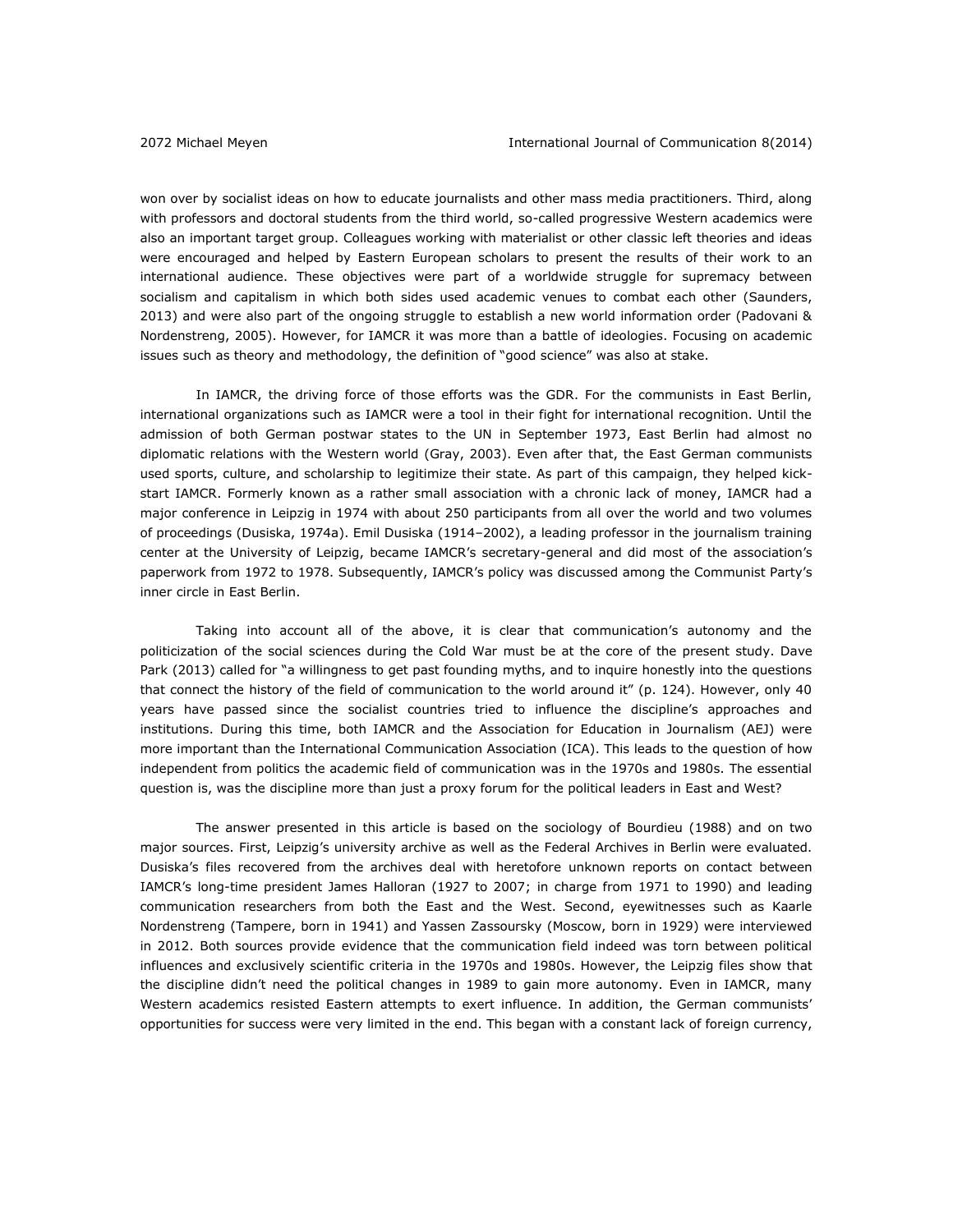won over by socialist ideas on how to educate journalists and other mass media practitioners. Third, along with professors and doctoral students from the third world, so-called progressive Western academics were also an important target group. Colleagues working with materialist or other classic left theories and ideas were encouraged and helped by Eastern European scholars to present the results of their work to an international audience. These objectives were part of a worldwide struggle for supremacy between socialism and capitalism in which both sides used academic venues to combat each other (Saunders, 2013) and were also part of the ongoing struggle to establish a new world information order (Padovani & Nordenstreng, 2005). However, for IAMCR it was more than a battle of ideologies. Focusing on academic issues such as theory and methodology, the definition of "good science" was also at stake.

In IAMCR, the driving force of those efforts was the GDR. For the communists in East Berlin, international organizations such as IAMCR were a tool in their fight for international recognition. Until the admission of both German postwar states to the UN in September 1973, East Berlin had almost no diplomatic relations with the Western world (Gray, 2003). Even after that, the East German communists used sports, culture, and scholarship to legitimize their state. As part of this campaign, they helped kickstart IAMCR. Formerly known as a rather small association with a chronic lack of money, IAMCR had a major conference in Leipzig in 1974 with about 250 participants from all over the world and two volumes of proceedings (Dusiska, 1974a). Emil Dusiska (1914–2002), a leading professor in the journalism training center at the University of Leipzig, became IAMCR's secretary-general and did most of the association's paperwork from 1972 to 1978. Subsequently, IAMCR's policy was discussed among the Communist Party's inner circle in East Berlin.

Taking into account all of the above, it is clear that communication's autonomy and the politicization of the social sciences during the Cold War must be at the core of the present study. Dave Park (2013) called for "a willingness to get past founding myths, and to inquire honestly into the questions that connect the history of the field of communication to the world around it" (p. 124). However, only 40 years have passed since the socialist countries tried to influence the discipline's approaches and institutions. During this time, both IAMCR and the Association for Education in Journalism (AEJ) were more important than the International Communication Association (ICA). This leads to the question of how independent from politics the academic field of communication was in the 1970s and 1980s. The essential question is, was the discipline more than just a proxy forum for the political leaders in East and West?

The answer presented in this article is based on the sociology of Bourdieu (1988) and on two major sources. First, Leipzig's university archive as well as the Federal Archives in Berlin were evaluated. Dusiska's files recovered from the archives deal with heretofore unknown reports on contact between IAMCR's long-time president James Halloran (1927 to 2007; in charge from 1971 to 1990) and leading communication researchers from both the East and the West. Second, eyewitnesses such as Kaarle Nordenstreng (Tampere, born in 1941) and Yassen Zassoursky (Moscow, born in 1929) were interviewed in 2012. Both sources provide evidence that the communication field indeed was torn between political influences and exclusively scientific criteria in the 1970s and 1980s. However, the Leipzig files show that the discipline didn't need the political changes in 1989 to gain more autonomy. Even in IAMCR, many Western academics resisted Eastern attempts to exert influence. In addition, the German communists' opportunities for success were very limited in the end. This began with a constant lack of foreign currency,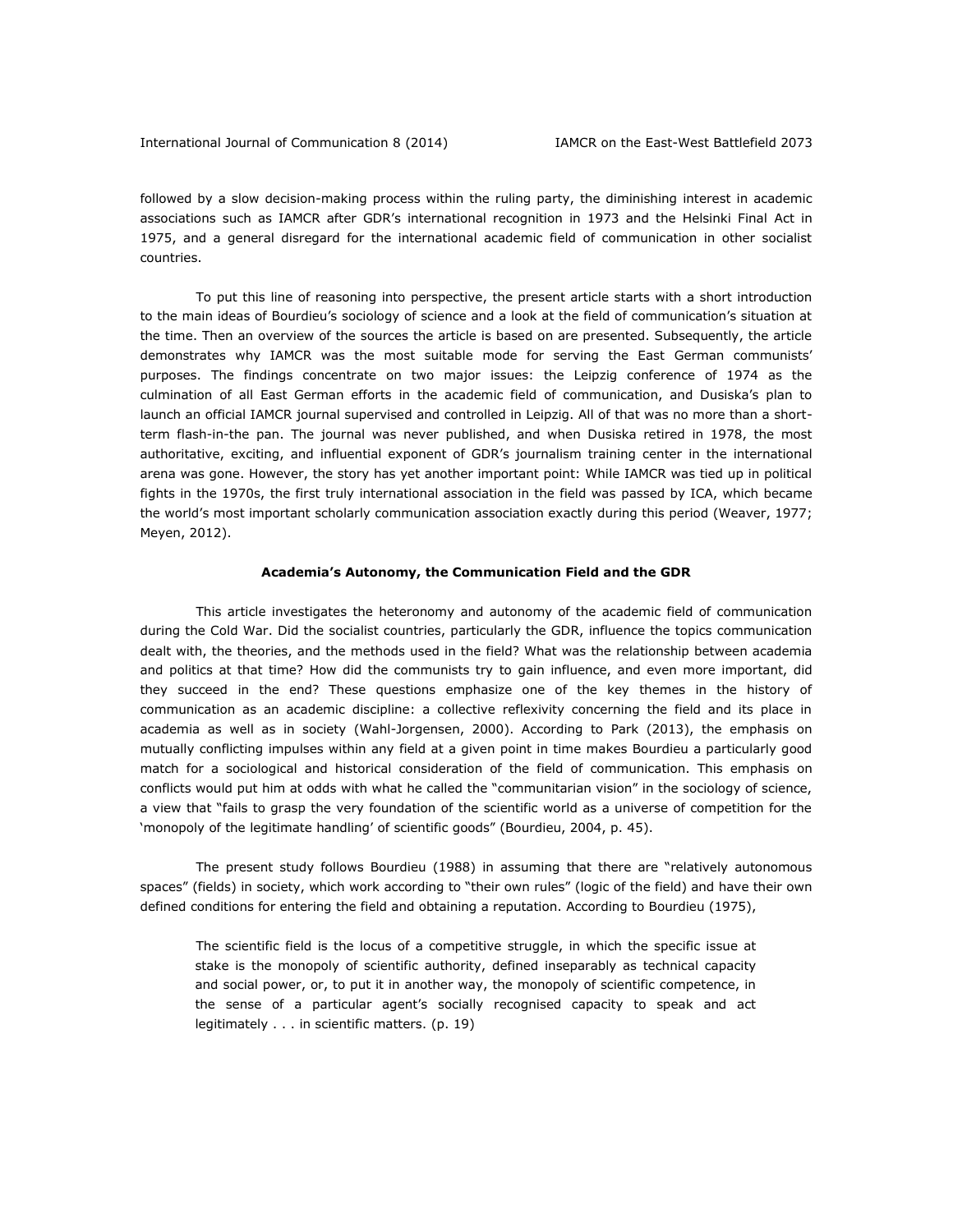followed by a slow decision-making process within the ruling party, the diminishing interest in academic associations such as IAMCR after GDR's international recognition in 1973 and the Helsinki Final Act in 1975, and a general disregard for the international academic field of communication in other socialist countries.

To put this line of reasoning into perspective, the present article starts with a short introduction to the main ideas of Bourdieu's sociology of science and a look at the field of communication's situation at the time. Then an overview of the sources the article is based on are presented. Subsequently, the article demonstrates why IAMCR was the most suitable mode for serving the East German communists' purposes. The findings concentrate on two major issues: the Leipzig conference of 1974 as the culmination of all East German efforts in the academic field of communication, and Dusiska's plan to launch an official IAMCR journal supervised and controlled in Leipzig. All of that was no more than a shortterm flash-in-the pan. The journal was never published, and when Dusiska retired in 1978, the most authoritative, exciting, and influential exponent of GDR's journalism training center in the international arena was gone. However, the story has yet another important point: While IAMCR was tied up in political fights in the 1970s, the first truly international association in the field was passed by ICA, which became the world's most important scholarly communication association exactly during this period (Weaver, 1977; Meyen, 2012).

#### **Academia's Autonomy, the Communication Field and the GDR**

This article investigates the heteronomy and autonomy of the academic field of communication during the Cold War. Did the socialist countries, particularly the GDR, influence the topics communication dealt with, the theories, and the methods used in the field? What was the relationship between academia and politics at that time? How did the communists try to gain influence, and even more important, did they succeed in the end? These questions emphasize one of the key themes in the history of communication as an academic discipline: a collective reflexivity concerning the field and its place in academia as well as in society (Wahl-Jorgensen, 2000). According to Park (2013), the emphasis on mutually conflicting impulses within any field at a given point in time makes Bourdieu a particularly good match for a sociological and historical consideration of the field of communication. This emphasis on conflicts would put him at odds with what he called the "communitarian vision" in the sociology of science, a view that "fails to grasp the very foundation of the scientific world as a universe of competition for the 'monopoly of the legitimate handling' of scientific goods" (Bourdieu, 2004, p. 45).

The present study follows Bourdieu (1988) in assuming that there are "relatively autonomous spaces" (fields) in society, which work according to "their own rules" (logic of the field) and have their own defined conditions for entering the field and obtaining a reputation. According to Bourdieu (1975),

The scientific field is the locus of a competitive struggle, in which the specific issue at stake is the monopoly of scientific authority, defined inseparably as technical capacity and social power, or, to put it in another way, the monopoly of scientific competence, in the sense of a particular agent's socially recognised capacity to speak and act legitimately . . . in scientific matters. (p. 19)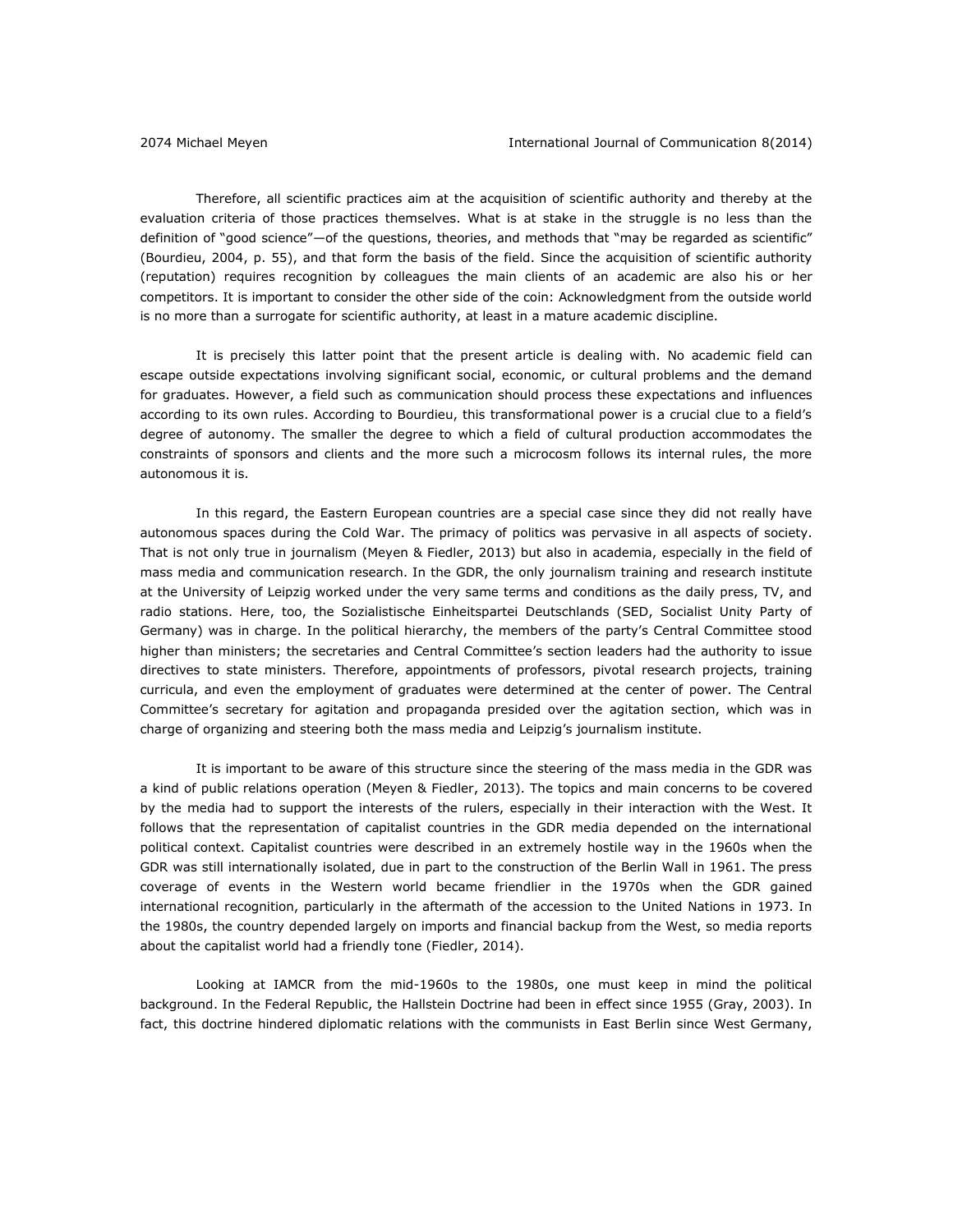Therefore, all scientific practices aim at the acquisition of scientific authority and thereby at the evaluation criteria of those practices themselves. What is at stake in the struggle is no less than the definition of "good science"—of the questions, theories, and methods that "may be regarded as scientific" (Bourdieu, 2004, p. 55), and that form the basis of the field. Since the acquisition of scientific authority (reputation) requires recognition by colleagues the main clients of an academic are also his or her competitors. It is important to consider the other side of the coin: Acknowledgment from the outside world is no more than a surrogate for scientific authority, at least in a mature academic discipline.

It is precisely this latter point that the present article is dealing with. No academic field can escape outside expectations involving significant social, economic, or cultural problems and the demand for graduates. However, a field such as communication should process these expectations and influences according to its own rules. According to Bourdieu, this transformational power is a crucial clue to a field's degree of autonomy. The smaller the degree to which a field of cultural production accommodates the constraints of sponsors and clients and the more such a microcosm follows its internal rules, the more autonomous it is.

In this regard, the Eastern European countries are a special case since they did not really have autonomous spaces during the Cold War. The primacy of politics was pervasive in all aspects of society. That is not only true in journalism (Meyen & Fiedler, 2013) but also in academia, especially in the field of mass media and communication research. In the GDR, the only journalism training and research institute at the University of Leipzig worked under the very same terms and conditions as the daily press, TV, and radio stations. Here, too, the Sozialistische Einheitspartei Deutschlands (SED, Socialist Unity Party of Germany) was in charge. In the political hierarchy, the members of the party's Central Committee stood higher than ministers; the secretaries and Central Committee's section leaders had the authority to issue directives to state ministers. Therefore, appointments of professors, pivotal research projects, training curricula, and even the employment of graduates were determined at the center of power. The Central Committee's secretary for agitation and propaganda presided over the agitation section, which was in charge of organizing and steering both the mass media and Leipzig's journalism institute.

It is important to be aware of this structure since the steering of the mass media in the GDR was a kind of public relations operation (Meyen & Fiedler, 2013). The topics and main concerns to be covered by the media had to support the interests of the rulers, especially in their interaction with the West. It follows that the representation of capitalist countries in the GDR media depended on the international political context. Capitalist countries were described in an extremely hostile way in the 1960s when the GDR was still internationally isolated, due in part to the construction of the Berlin Wall in 1961. The press coverage of events in the Western world became friendlier in the 1970s when the GDR gained international recognition, particularly in the aftermath of the accession to the United Nations in 1973. In the 1980s, the country depended largely on imports and financial backup from the West, so media reports about the capitalist world had a friendly tone (Fiedler, 2014).

Looking at IAMCR from the mid-1960s to the 1980s, one must keep in mind the political background. In the Federal Republic, the Hallstein Doctrine had been in effect since 1955 (Gray, 2003). In fact, this doctrine hindered diplomatic relations with the communists in East Berlin since West Germany,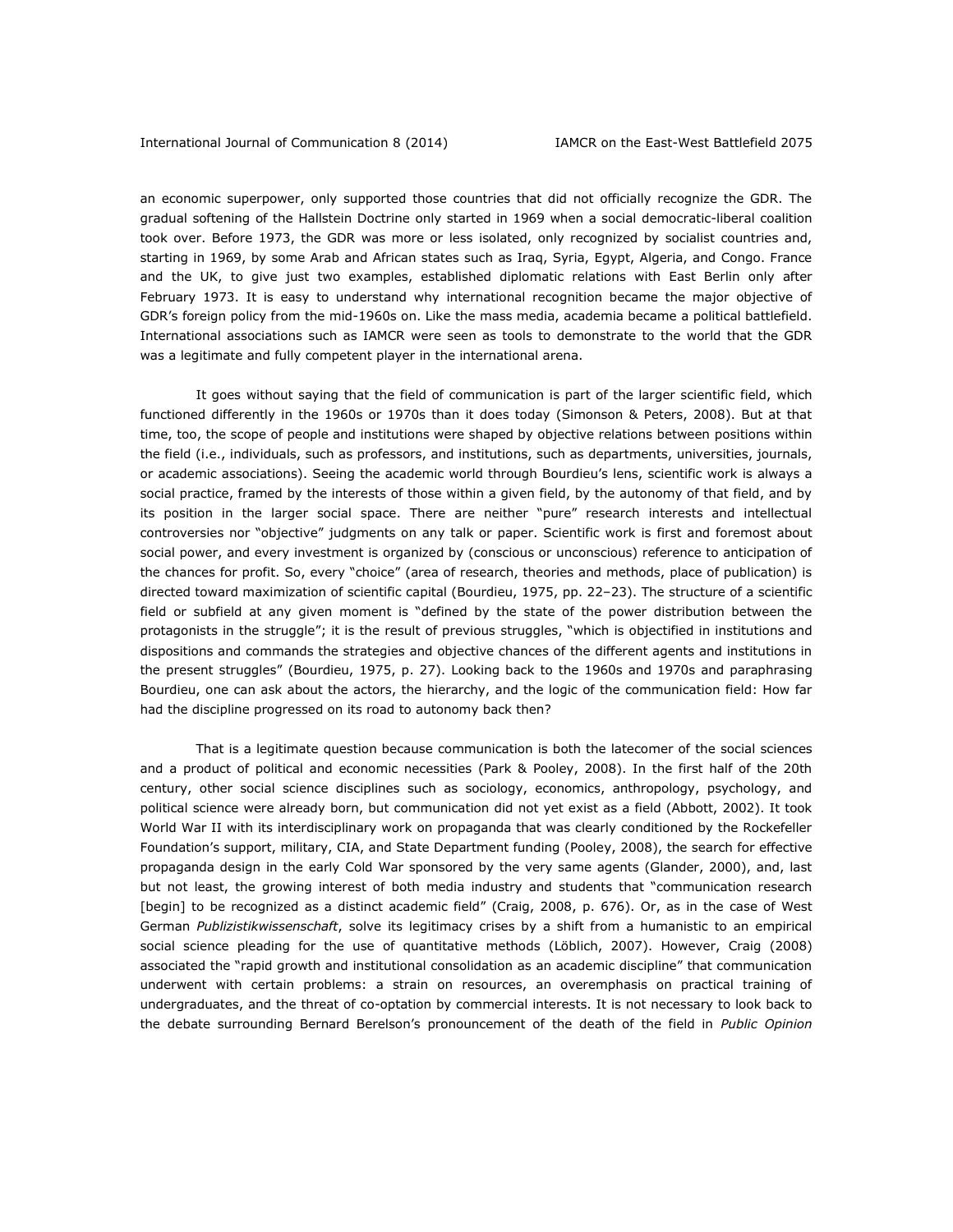an economic superpower, only supported those countries that did not officially recognize the GDR. The gradual softening of the Hallstein Doctrine only started in 1969 when a social democratic-liberal coalition took over. Before 1973, the GDR was more or less isolated, only recognized by socialist countries and, starting in 1969, by some Arab and African states such as Iraq, Syria, Egypt, Algeria, and Congo. France and the UK, to give just two examples, established diplomatic relations with East Berlin only after February 1973. It is easy to understand why international recognition became the major objective of GDR's foreign policy from the mid-1960s on. Like the mass media, academia became a political battlefield. International associations such as IAMCR were seen as tools to demonstrate to the world that the GDR was a legitimate and fully competent player in the international arena.

It goes without saying that the field of communication is part of the larger scientific field, which functioned differently in the 1960s or 1970s than it does today (Simonson & Peters, 2008). But at that time, too, the scope of people and institutions were shaped by objective relations between positions within the field (i.e., individuals, such as professors, and institutions, such as departments, universities, journals, or academic associations). Seeing the academic world through Bourdieu's lens, scientific work is always a social practice, framed by the interests of those within a given field, by the autonomy of that field, and by its position in the larger social space. There are neither "pure" research interests and intellectual controversies nor "objective" judgments on any talk or paper. Scientific work is first and foremost about social power, and every investment is organized by (conscious or unconscious) reference to anticipation of the chances for profit. So, every "choice" (area of research, theories and methods, place of publication) is directed toward maximization of scientific capital (Bourdieu, 1975, pp. 22–23). The structure of a scientific field or subfield at any given moment is "defined by the state of the power distribution between the protagonists in the struggle"; it is the result of previous struggles, "which is objectified in institutions and dispositions and commands the strategies and objective chances of the different agents and institutions in the present struggles" (Bourdieu, 1975, p. 27). Looking back to the 1960s and 1970s and paraphrasing Bourdieu, one can ask about the actors, the hierarchy, and the logic of the communication field: How far had the discipline progressed on its road to autonomy back then?

That is a legitimate question because communication is both the latecomer of the social sciences and a product of political and economic necessities (Park & Pooley, 2008). In the first half of the 20th century, other social science disciplines such as sociology, economics, anthropology, psychology, and political science were already born, but communication did not yet exist as a field (Abbott, 2002). It took World War II with its interdisciplinary work on propaganda that was clearly conditioned by the Rockefeller Foundation's support, military, CIA, and State Department funding (Pooley, 2008), the search for effective propaganda design in the early Cold War sponsored by the very same agents (Glander, 2000), and, last but not least, the growing interest of both media industry and students that "communication research [begin] to be recognized as a distinct academic field" (Craig, 2008, p. 676). Or, as in the case of West German *Publizistikwissenschaft*, solve its legitimacy crises by a shift from a humanistic to an empirical social science pleading for the use of quantitative methods (Löblich, 2007). However, Craig (2008) associated the "rapid growth and institutional consolidation as an academic discipline" that communication underwent with certain problems: a strain on resources, an overemphasis on practical training of undergraduates, and the threat of co-optation by commercial interests. It is not necessary to look back to the debate surrounding Bernard Berelson's pronouncement of the death of the field in *Public Opinion*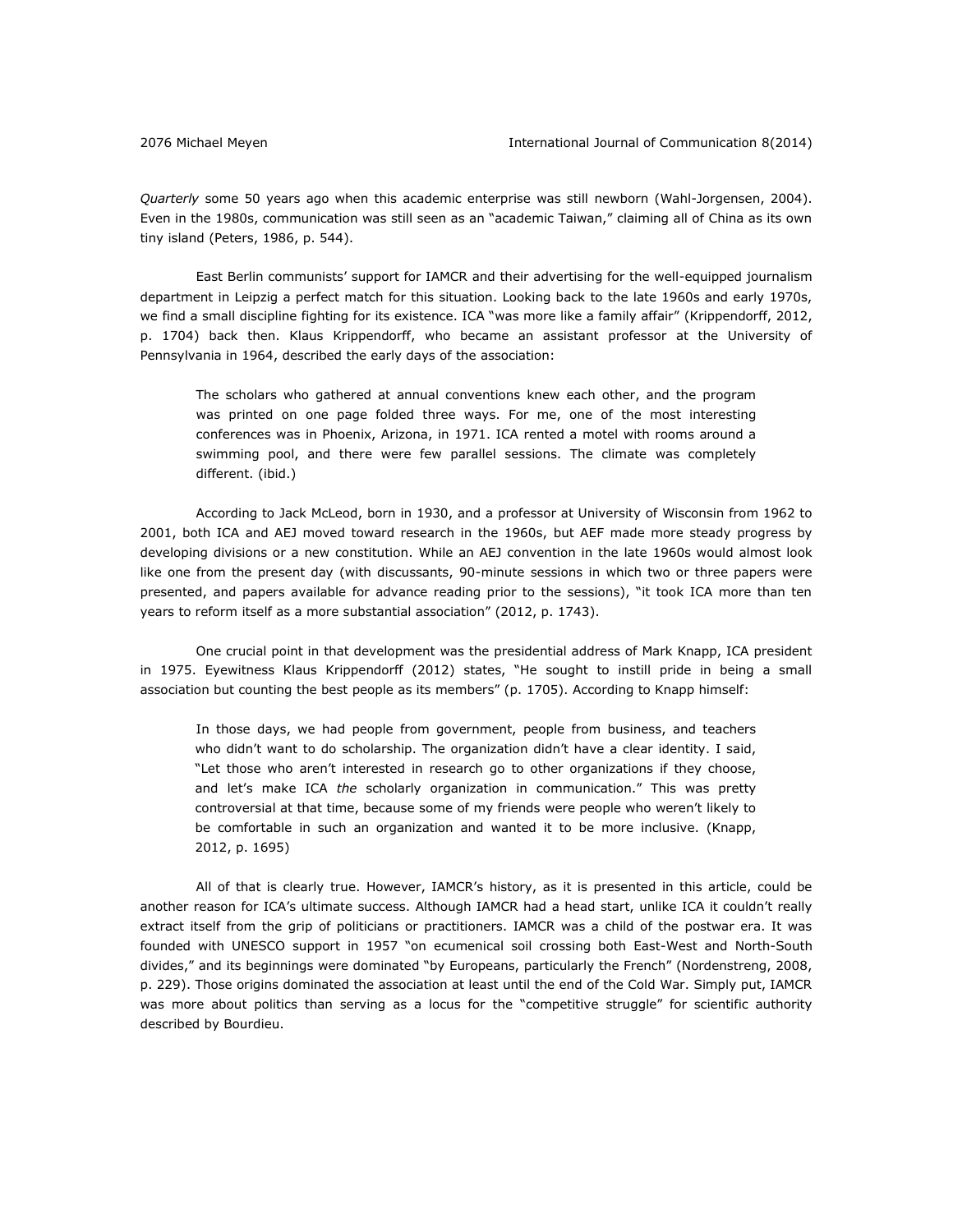*Quarterly* some 50 years ago when this academic enterprise was still newborn (Wahl-Jorgensen, 2004). Even in the 1980s, communication was still seen as an "academic Taiwan," claiming all of China as its own tiny island (Peters, 1986, p. 544).

East Berlin communists' support for IAMCR and their advertising for the well-equipped journalism department in Leipzig a perfect match for this situation. Looking back to the late 1960s and early 1970s, we find a small discipline fighting for its existence. ICA "was more like a family affair" (Krippendorff, 2012, p. 1704) back then. Klaus Krippendorff, who became an assistant professor at the University of Pennsylvania in 1964, described the early days of the association:

The scholars who gathered at annual conventions knew each other, and the program was printed on one page folded three ways. For me, one of the most interesting conferences was in Phoenix, Arizona, in 1971. ICA rented a motel with rooms around a swimming pool, and there were few parallel sessions. The climate was completely different. (ibid.)

According to Jack McLeod, born in 1930, and a professor at University of Wisconsin from 1962 to 2001, both ICA and AEJ moved toward research in the 1960s, but AEF made more steady progress by developing divisions or a new constitution. While an AEJ convention in the late 1960s would almost look like one from the present day (with discussants, 90-minute sessions in which two or three papers were presented, and papers available for advance reading prior to the sessions), "it took ICA more than ten years to reform itself as a more substantial association" (2012, p. 1743).

One crucial point in that development was the presidential address of Mark Knapp, ICA president in 1975. Eyewitness Klaus Krippendorff (2012) states, "He sought to instill pride in being a small association but counting the best people as its members" (p. 1705). According to Knapp himself:

In those days, we had people from government, people from business, and teachers who didn't want to do scholarship. The organization didn't have a clear identity. I said, "Let those who aren't interested in research go to other organizations if they choose, and let's make ICA *the* scholarly organization in communication." This was pretty controversial at that time, because some of my friends were people who weren't likely to be comfortable in such an organization and wanted it to be more inclusive. (Knapp, 2012, p. 1695)

All of that is clearly true. However, IAMCR's history, as it is presented in this article, could be another reason for ICA's ultimate success. Although IAMCR had a head start, unlike ICA it couldn't really extract itself from the grip of politicians or practitioners. IAMCR was a child of the postwar era. It was founded with UNESCO support in 1957 "on ecumenical soil crossing both East-West and North-South divides," and its beginnings were dominated "by Europeans, particularly the French" (Nordenstreng, 2008, p. 229). Those origins dominated the association at least until the end of the Cold War. Simply put, IAMCR was more about politics than serving as a locus for the "competitive struggle" for scientific authority described by Bourdieu.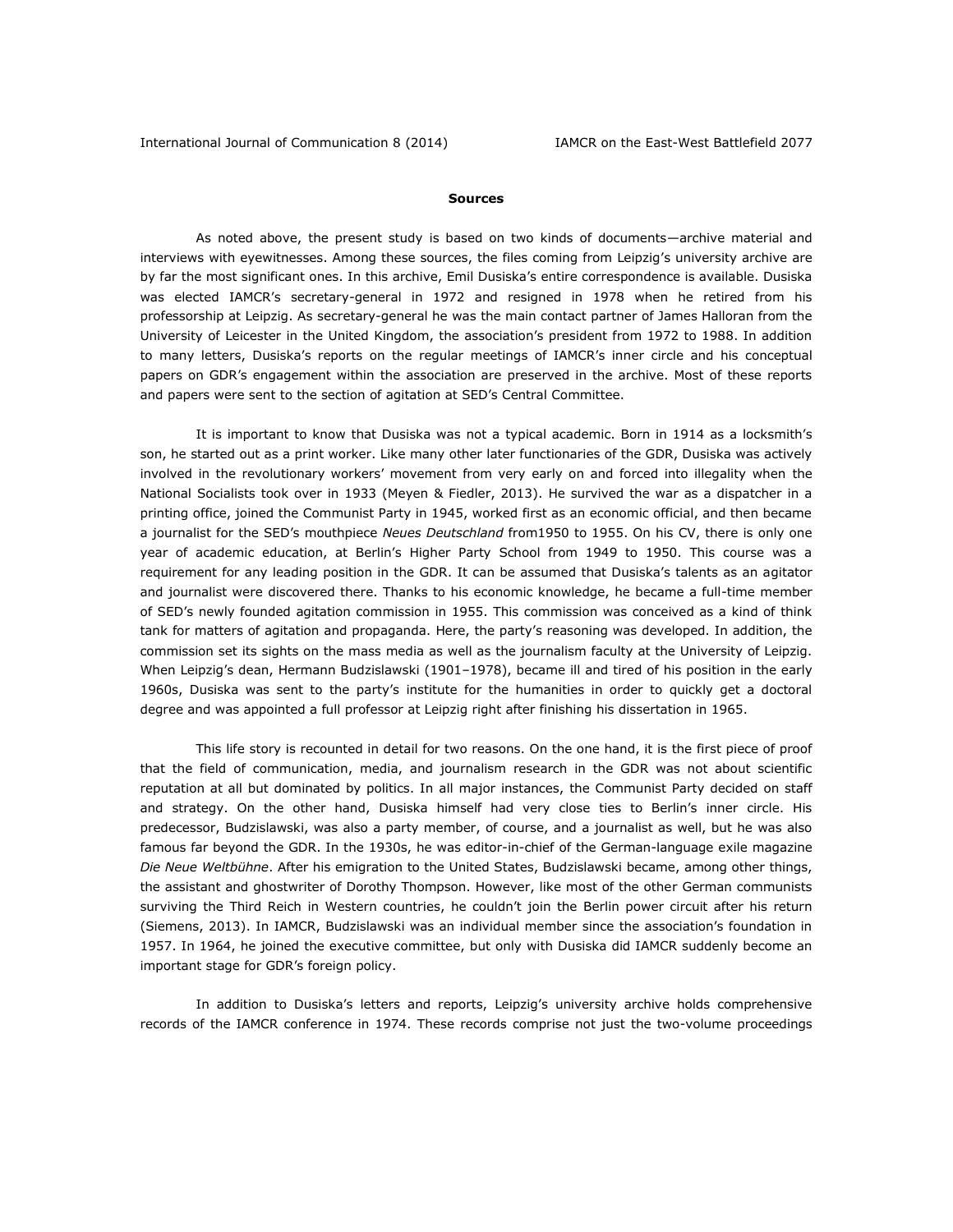#### **Sources**

As noted above, the present study is based on two kinds of documents—archive material and interviews with eyewitnesses. Among these sources, the files coming from Leipzig's university archive are by far the most significant ones. In this archive, Emil Dusiska's entire correspondence is available. Dusiska was elected IAMCR's secretary-general in 1972 and resigned in 1978 when he retired from his professorship at Leipzig. As secretary-general he was the main contact partner of James Halloran from the University of Leicester in the United Kingdom, the association's president from 1972 to 1988. In addition to many letters, Dusiska's reports on the regular meetings of IAMCR's inner circle and his conceptual papers on GDR's engagement within the association are preserved in the archive. Most of these reports and papers were sent to the section of agitation at SED's Central Committee.

It is important to know that Dusiska was not a typical academic. Born in 1914 as a locksmith's son, he started out as a print worker. Like many other later functionaries of the GDR, Dusiska was actively involved in the revolutionary workers' movement from very early on and forced into illegality when the National Socialists took over in 1933 (Meyen & Fiedler, 2013). He survived the war as a dispatcher in a printing office, joined the Communist Party in 1945, worked first as an economic official, and then became a journalist for the SED's mouthpiece *Neues Deutschland* from1950 to 1955. On his CV, there is only one year of academic education, at Berlin's Higher Party School from 1949 to 1950. This course was a requirement for any leading position in the GDR. It can be assumed that Dusiska's talents as an agitator and journalist were discovered there. Thanks to his economic knowledge, he became a full-time member of SED's newly founded agitation commission in 1955. This commission was conceived as a kind of think tank for matters of agitation and propaganda. Here, the party's reasoning was developed. In addition, the commission set its sights on the mass media as well as the journalism faculty at the University of Leipzig. When Leipzig's dean, Hermann Budzislawski (1901–1978), became ill and tired of his position in the early 1960s, Dusiska was sent to the party's institute for the humanities in order to quickly get a doctoral degree and was appointed a full professor at Leipzig right after finishing his dissertation in 1965.

This life story is recounted in detail for two reasons. On the one hand, it is the first piece of proof that the field of communication, media, and journalism research in the GDR was not about scientific reputation at all but dominated by politics. In all major instances, the Communist Party decided on staff and strategy. On the other hand, Dusiska himself had very close ties to Berlin's inner circle. His predecessor, Budzislawski, was also a party member, of course, and a journalist as well, but he was also famous far beyond the GDR. In the 1930s, he was editor-in-chief of the German-language exile magazine *Die Neue Weltbühne*. After his emigration to the United States, Budzislawski became, among other things, the assistant and ghostwriter of Dorothy Thompson. However, like most of the other German communists surviving the Third Reich in Western countries, he couldn't join the Berlin power circuit after his return (Siemens, 2013). In IAMCR, Budzislawski was an individual member since the association's foundation in 1957. In 1964, he joined the executive committee, but only with Dusiska did IAMCR suddenly become an important stage for GDR's foreign policy.

In addition to Dusiska's letters and reports, Leipzig's university archive holds comprehensive records of the IAMCR conference in 1974. These records comprise not just the two-volume proceedings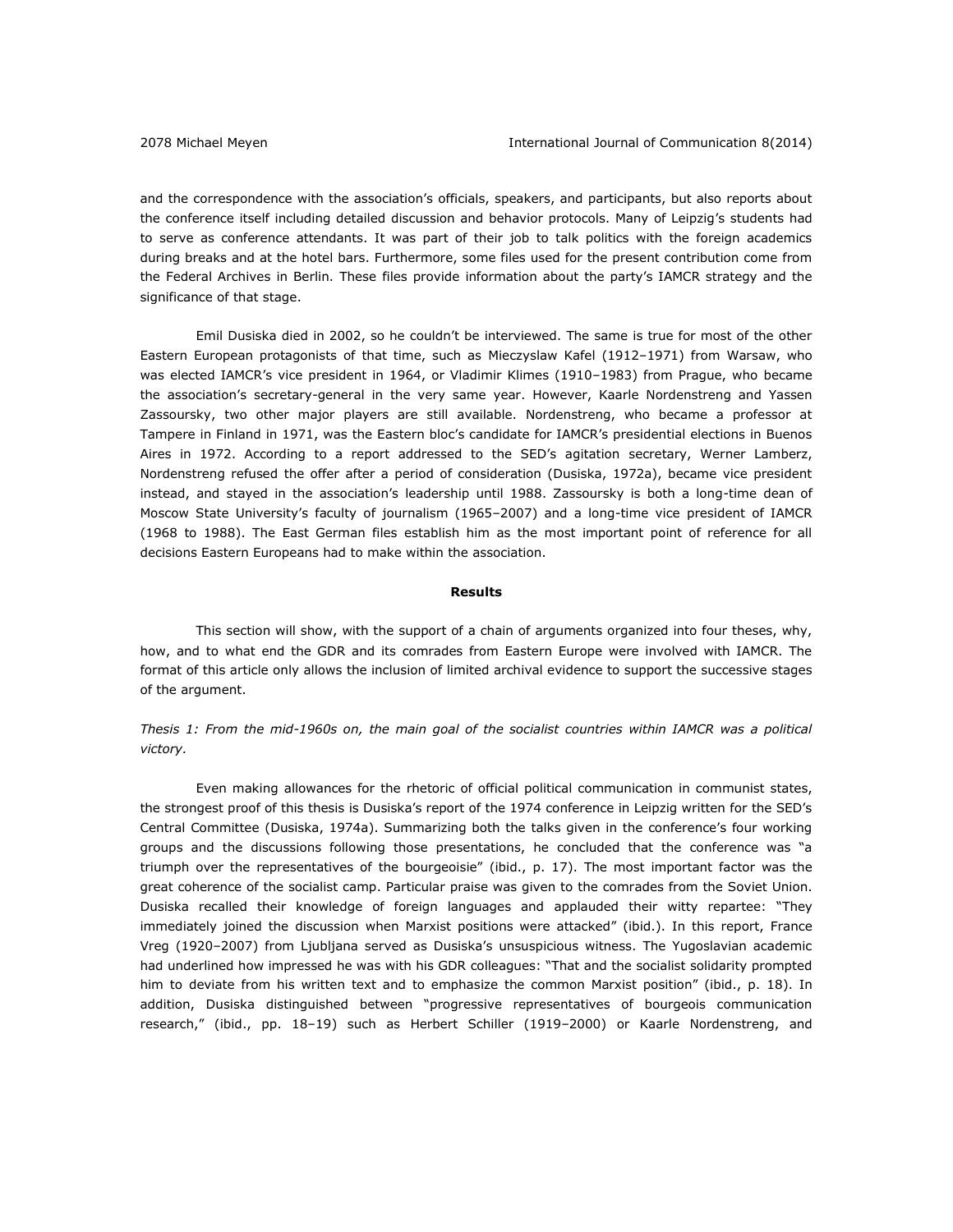and the correspondence with the association's officials, speakers, and participants, but also reports about the conference itself including detailed discussion and behavior protocols. Many of Leipzig's students had to serve as conference attendants. It was part of their job to talk politics with the foreign academics during breaks and at the hotel bars. Furthermore, some files used for the present contribution come from the Federal Archives in Berlin. These files provide information about the party's IAMCR strategy and the significance of that stage.

Emil Dusiska died in 2002, so he couldn't be interviewed. The same is true for most of the other Eastern European protagonists of that time, such as Mieczyslaw Kafel (1912–1971) from Warsaw, who was elected IAMCR's vice president in 1964, or Vladimir Klimes (1910–1983) from Prague, who became the association's secretary-general in the very same year. However, Kaarle Nordenstreng and Yassen Zassoursky, two other major players are still available. Nordenstreng, who became a professor at Tampere in Finland in 1971, was the Eastern bloc's candidate for IAMCR's presidential elections in Buenos Aires in 1972. According to a report addressed to the SED's agitation secretary, Werner Lamberz, Nordenstreng refused the offer after a period of consideration (Dusiska, 1972a), became vice president instead, and stayed in the association's leadership until 1988. Zassoursky is both a long-time dean of Moscow State University's faculty of journalism (1965–2007) and a long-time vice president of IAMCR (1968 to 1988). The East German files establish him as the most important point of reference for all decisions Eastern Europeans had to make within the association.

#### **Results**

This section will show, with the support of a chain of arguments organized into four theses, why, how, and to what end the GDR and its comrades from Eastern Europe were involved with IAMCR. The format of this article only allows the inclusion of limited archival evidence to support the successive stages of the argument.

*Thesis 1: From the mid-1960s on, the main goal of the socialist countries within IAMCR was a political victory.* 

Even making allowances for the rhetoric of official political communication in communist states, the strongest proof of this thesis is Dusiska's report of the 1974 conference in Leipzig written for the SED's Central Committee (Dusiska, 1974a). Summarizing both the talks given in the conference's four working groups and the discussions following those presentations, he concluded that the conference was "a triumph over the representatives of the bourgeoisie" (ibid., p. 17). The most important factor was the great coherence of the socialist camp. Particular praise was given to the comrades from the Soviet Union. Dusiska recalled their knowledge of foreign languages and applauded their witty repartee: "They immediately joined the discussion when Marxist positions were attacked" (ibid.). In this report, France Vreg (1920–2007) from Ljubljana served as Dusiska's unsuspicious witness. The Yugoslavian academic had underlined how impressed he was with his GDR colleagues: "That and the socialist solidarity prompted him to deviate from his written text and to emphasize the common Marxist position" (ibid., p. 18). In addition, Dusiska distinguished between "progressive representatives of bourgeois communication research," (ibid., pp. 18–19) such as Herbert Schiller (1919–2000) or Kaarle Nordenstreng, and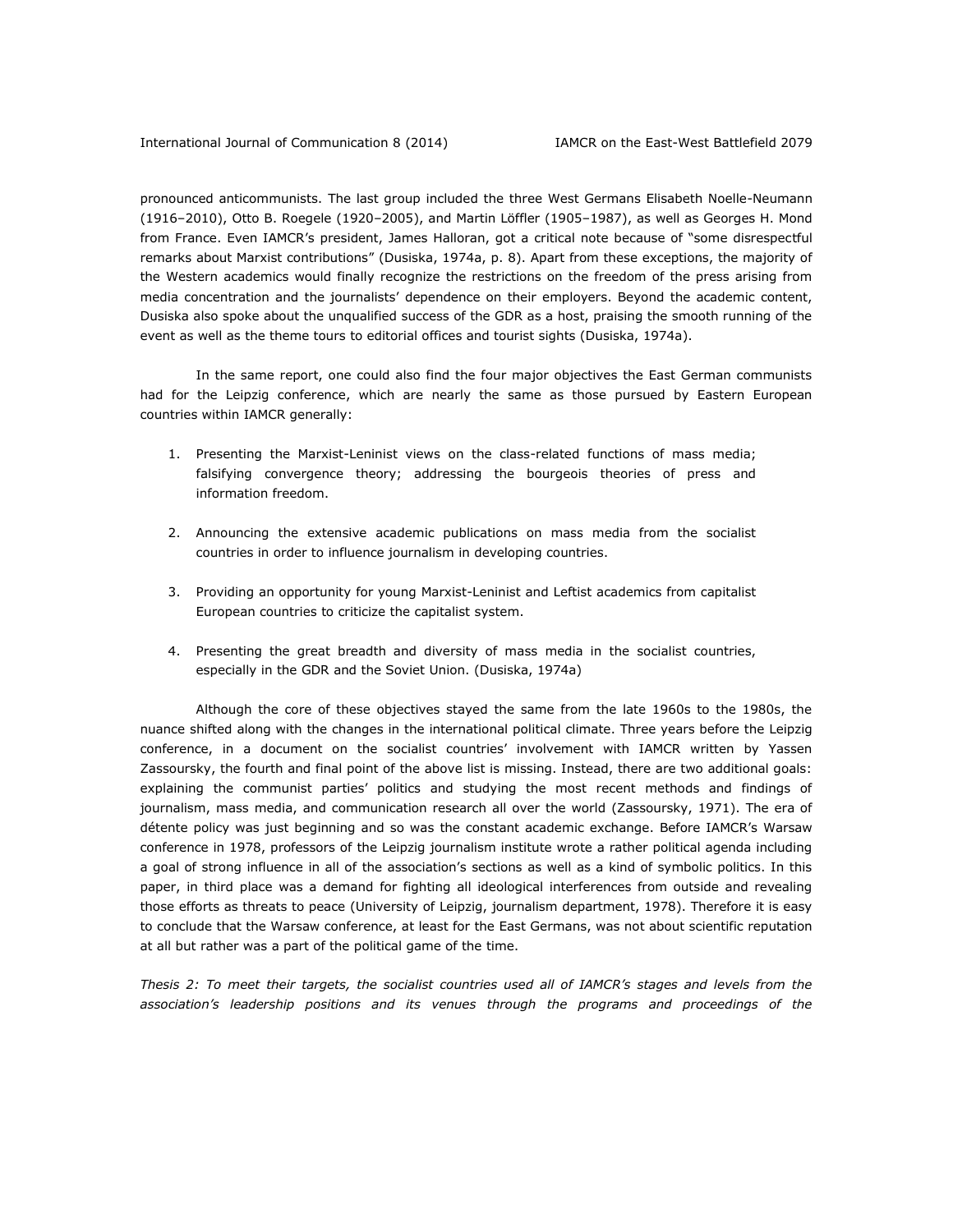pronounced anticommunists. The last group included the three West Germans Elisabeth Noelle-Neumann (1916–2010), Otto B. Roegele (1920–2005), and Martin Löffler (1905–1987), as well as Georges H. Mond from France. Even IAMCR's president, James Halloran, got a critical note because of "some disrespectful remarks about Marxist contributions" (Dusiska, 1974a, p. 8). Apart from these exceptions, the majority of the Western academics would finally recognize the restrictions on the freedom of the press arising from media concentration and the journalists' dependence on their employers. Beyond the academic content, Dusiska also spoke about the unqualified success of the GDR as a host, praising the smooth running of the event as well as the theme tours to editorial offices and tourist sights (Dusiska, 1974a).

In the same report, one could also find the four major objectives the East German communists had for the Leipzig conference, which are nearly the same as those pursued by Eastern European countries within IAMCR generally:

- 1. Presenting the Marxist-Leninist views on the class-related functions of mass media; falsifying convergence theory; addressing the bourgeois theories of press and information freedom.
- 2. Announcing the extensive academic publications on mass media from the socialist countries in order to influence journalism in developing countries.
- 3. Providing an opportunity for young Marxist-Leninist and Leftist academics from capitalist European countries to criticize the capitalist system.
- 4. Presenting the great breadth and diversity of mass media in the socialist countries, especially in the GDR and the Soviet Union. (Dusiska, 1974a)

Although the core of these objectives stayed the same from the late 1960s to the 1980s, the nuance shifted along with the changes in the international political climate. Three years before the Leipzig conference, in a document on the socialist countries' involvement with IAMCR written by Yassen Zassoursky, the fourth and final point of the above list is missing. Instead, there are two additional goals: explaining the communist parties' politics and studying the most recent methods and findings of journalism, mass media, and communication research all over the world (Zassoursky, 1971). The era of détente policy was just beginning and so was the constant academic exchange. Before IAMCR's Warsaw conference in 1978, professors of the Leipzig journalism institute wrote a rather political agenda including a goal of strong influence in all of the association's sections as well as a kind of symbolic politics. In this paper, in third place was a demand for fighting all ideological interferences from outside and revealing those efforts as threats to peace (University of Leipzig, journalism department, 1978). Therefore it is easy to conclude that the Warsaw conference, at least for the East Germans, was not about scientific reputation at all but rather was a part of the political game of the time.

*Thesis 2: To meet their targets, the socialist countries used all of IAMCR's stages and levels from the association's leadership positions and its venues through the programs and proceedings of the*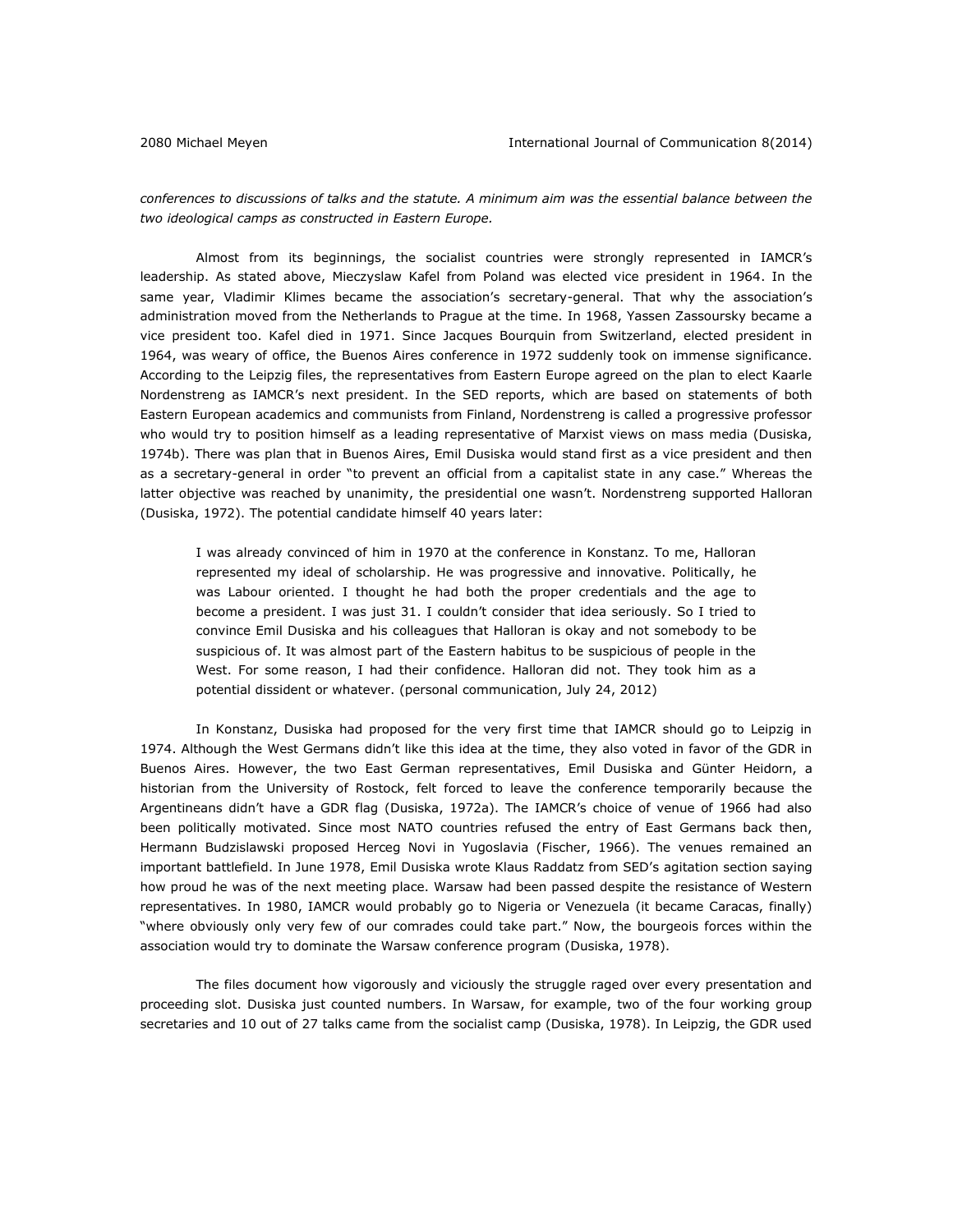*conferences to discussions of talks and the statute. A minimum aim was the essential balance between the two ideological camps as constructed in Eastern Europe.* 

Almost from its beginnings, the socialist countries were strongly represented in IAMCR's leadership. As stated above, Mieczyslaw Kafel from Poland was elected vice president in 1964. In the same year, Vladimir Klimes became the association's secretary-general. That why the association's administration moved from the Netherlands to Prague at the time. In 1968, Yassen Zassoursky became a vice president too. Kafel died in 1971. Since Jacques Bourquin from Switzerland, elected president in 1964, was weary of office, the Buenos Aires conference in 1972 suddenly took on immense significance. According to the Leipzig files, the representatives from Eastern Europe agreed on the plan to elect Kaarle Nordenstreng as IAMCR's next president. In the SED reports, which are based on statements of both Eastern European academics and communists from Finland, Nordenstreng is called a progressive professor who would try to position himself as a leading representative of Marxist views on mass media (Dusiska, 1974b). There was plan that in Buenos Aires, Emil Dusiska would stand first as a vice president and then as a secretary-general in order "to prevent an official from a capitalist state in any case." Whereas the latter objective was reached by unanimity, the presidential one wasn't. Nordenstreng supported Halloran (Dusiska, 1972). The potential candidate himself 40 years later:

I was already convinced of him in 1970 at the conference in Konstanz. To me, Halloran represented my ideal of scholarship. He was progressive and innovative. Politically, he was Labour oriented. I thought he had both the proper credentials and the age to become a president. I was just 31. I couldn't consider that idea seriously. So I tried to convince Emil Dusiska and his colleagues that Halloran is okay and not somebody to be suspicious of. It was almost part of the Eastern habitus to be suspicious of people in the West. For some reason, I had their confidence. Halloran did not. They took him as a potential dissident or whatever. (personal communication, July 24, 2012)

In Konstanz, Dusiska had proposed for the very first time that IAMCR should go to Leipzig in 1974. Although the West Germans didn't like this idea at the time, they also voted in favor of the GDR in Buenos Aires. However, the two East German representatives, Emil Dusiska and Günter Heidorn, a historian from the University of Rostock, felt forced to leave the conference temporarily because the Argentineans didn't have a GDR flag (Dusiska, 1972a). The IAMCR's choice of venue of 1966 had also been politically motivated. Since most NATO countries refused the entry of East Germans back then, Hermann Budzislawski proposed Herceg Novi in Yugoslavia (Fischer, 1966). The venues remained an important battlefield. In June 1978, Emil Dusiska wrote Klaus Raddatz from SED's agitation section saying how proud he was of the next meeting place. Warsaw had been passed despite the resistance of Western representatives. In 1980, IAMCR would probably go to Nigeria or Venezuela (it became Caracas, finally) "where obviously only very few of our comrades could take part." Now, the bourgeois forces within the association would try to dominate the Warsaw conference program (Dusiska, 1978).

The files document how vigorously and viciously the struggle raged over every presentation and proceeding slot. Dusiska just counted numbers. In Warsaw, for example, two of the four working group secretaries and 10 out of 27 talks came from the socialist camp (Dusiska, 1978). In Leipzig, the GDR used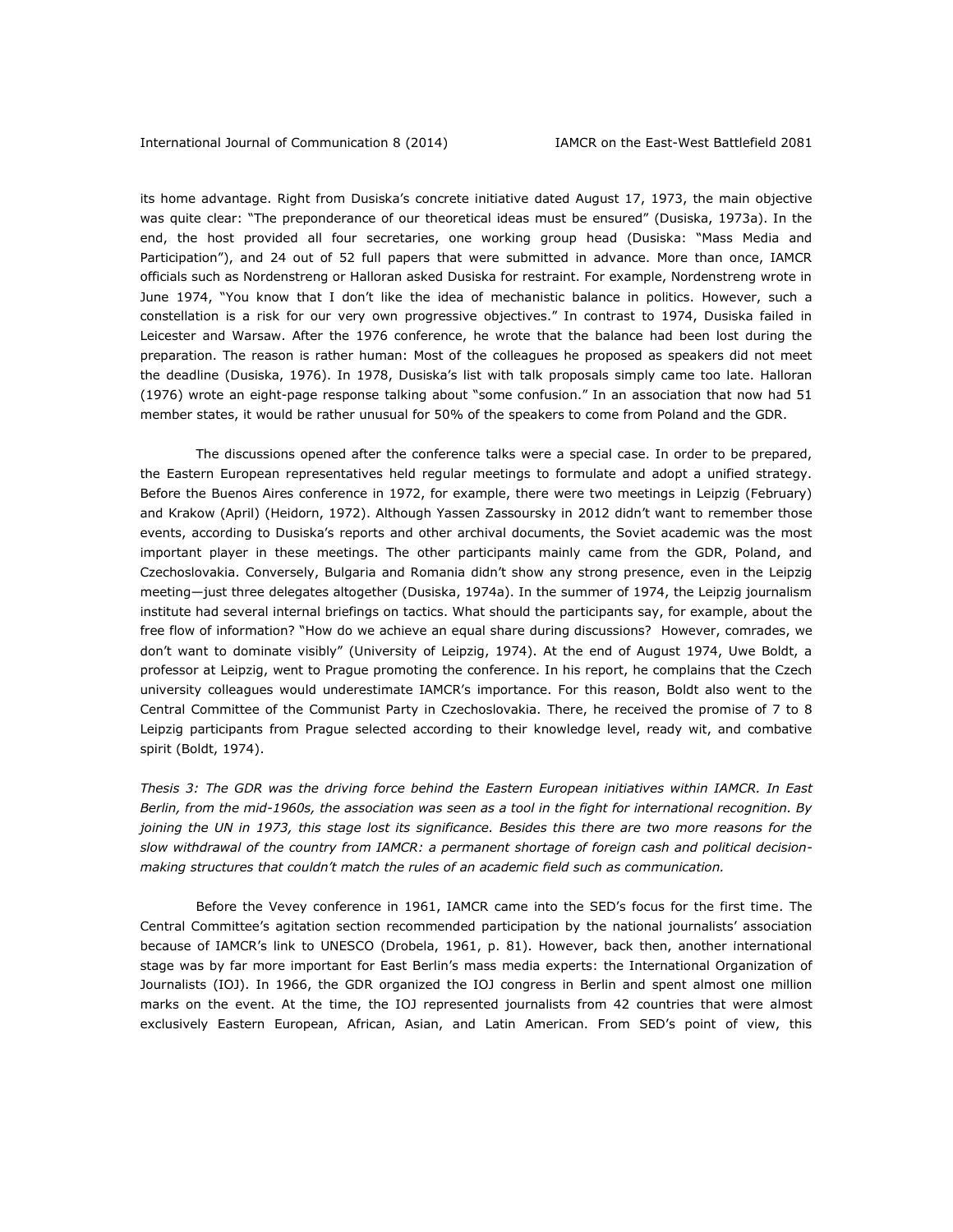its home advantage. Right from Dusiska's concrete initiative dated August 17, 1973, the main objective was quite clear: "The preponderance of our theoretical ideas must be ensured" (Dusiska, 1973a). In the end, the host provided all four secretaries, one working group head (Dusiska: "Mass Media and Participation"), and 24 out of 52 full papers that were submitted in advance. More than once, IAMCR officials such as Nordenstreng or Halloran asked Dusiska for restraint. For example, Nordenstreng wrote in June 1974, "You know that I don't like the idea of mechanistic balance in politics. However, such a constellation is a risk for our very own progressive objectives." In contrast to 1974, Dusiska failed in Leicester and Warsaw. After the 1976 conference, he wrote that the balance had been lost during the preparation. The reason is rather human: Most of the colleagues he proposed as speakers did not meet the deadline (Dusiska, 1976). In 1978, Dusiska's list with talk proposals simply came too late. Halloran (1976) wrote an eight-page response talking about "some confusion." In an association that now had 51 member states, it would be rather unusual for 50% of the speakers to come from Poland and the GDR.

The discussions opened after the conference talks were a special case. In order to be prepared, the Eastern European representatives held regular meetings to formulate and adopt a unified strategy. Before the Buenos Aires conference in 1972, for example, there were two meetings in Leipzig (February) and Krakow (April) (Heidorn, 1972). Although Yassen Zassoursky in 2012 didn't want to remember those events, according to Dusiska's reports and other archival documents, the Soviet academic was the most important player in these meetings. The other participants mainly came from the GDR, Poland, and Czechoslovakia. Conversely, Bulgaria and Romania didn't show any strong presence, even in the Leipzig meeting—just three delegates altogether (Dusiska, 1974a). In the summer of 1974, the Leipzig journalism institute had several internal briefings on tactics. What should the participants say, for example, about the free flow of information? "How do we achieve an equal share during discussions? However, comrades, we don't want to dominate visibly" (University of Leipzig, 1974). At the end of August 1974, Uwe Boldt, a professor at Leipzig, went to Prague promoting the conference. In his report, he complains that the Czech university colleagues would underestimate IAMCR's importance. For this reason, Boldt also went to the Central Committee of the Communist Party in Czechoslovakia. There, he received the promise of 7 to 8 Leipzig participants from Prague selected according to their knowledge level, ready wit, and combative spirit (Boldt, 1974).

*Thesis 3: The GDR was the driving force behind the Eastern European initiatives within IAMCR. In East Berlin, from the mid-1960s, the association was seen as a tool in the fight for international recognition. By joining the UN in 1973, this stage lost its significance. Besides this there are two more reasons for the slow withdrawal of the country from IAMCR: a permanent shortage of foreign cash and political decisionmaking structures that couldn't match the rules of an academic field such as communication.*

Before the Vevey conference in 1961, IAMCR came into the SED's focus for the first time. The Central Committee's agitation section recommended participation by the national journalists' association because of IAMCR's link to UNESCO (Drobela, 1961, p. 81). However, back then, another international stage was by far more important for East Berlin's mass media experts: the International Organization of Journalists (IOJ). In 1966, the GDR organized the IOJ congress in Berlin and spent almost one million marks on the event. At the time, the IOJ represented journalists from 42 countries that were almost exclusively Eastern European, African, Asian, and Latin American. From SED's point of view, this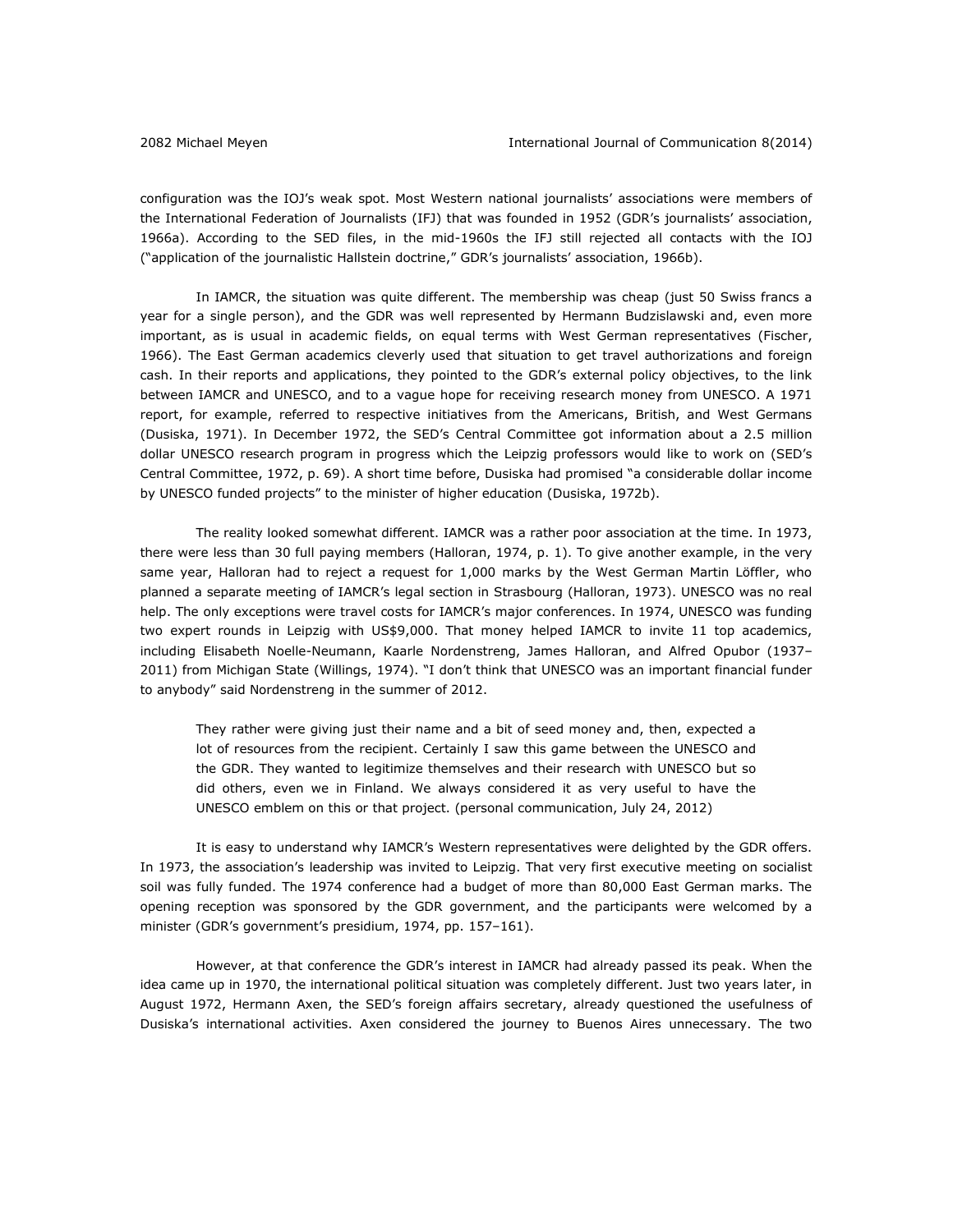configuration was the IOJ's weak spot. Most Western national journalists' associations were members of the International Federation of Journalists (IFJ) that was founded in 1952 (GDR's journalists' association, 1966a). According to the SED files, in the mid-1960s the IFJ still rejected all contacts with the IOJ ("application of the journalistic Hallstein doctrine," GDR's journalists' association, 1966b).

In IAMCR, the situation was quite different. The membership was cheap (just 50 Swiss francs a year for a single person), and the GDR was well represented by Hermann Budzislawski and, even more important, as is usual in academic fields, on equal terms with West German representatives (Fischer, 1966). The East German academics cleverly used that situation to get travel authorizations and foreign cash. In their reports and applications, they pointed to the GDR's external policy objectives, to the link between IAMCR and UNESCO, and to a vague hope for receiving research money from UNESCO. A 1971 report, for example, referred to respective initiatives from the Americans, British, and West Germans (Dusiska, 1971). In December 1972, the SED's Central Committee got information about a 2.5 million dollar UNESCO research program in progress which the Leipzig professors would like to work on (SED's Central Committee, 1972, p. 69). A short time before, Dusiska had promised "a considerable dollar income by UNESCO funded projects" to the minister of higher education (Dusiska, 1972b).

The reality looked somewhat different. IAMCR was a rather poor association at the time. In 1973, there were less than 30 full paying members (Halloran, 1974, p. 1). To give another example, in the very same year, Halloran had to reject a request for 1,000 marks by the West German Martin Löffler, who planned a separate meeting of IAMCR's legal section in Strasbourg (Halloran, 1973). UNESCO was no real help. The only exceptions were travel costs for IAMCR's major conferences. In 1974, UNESCO was funding two expert rounds in Leipzig with US\$9,000. That money helped IAMCR to invite 11 top academics, including Elisabeth Noelle-Neumann, Kaarle Nordenstreng, James Halloran, and Alfred Opubor (1937– 2011) from Michigan State (Willings, 1974). "I don't think that UNESCO was an important financial funder to anybody" said Nordenstreng in the summer of 2012.

They rather were giving just their name and a bit of seed money and, then, expected a lot of resources from the recipient. Certainly I saw this game between the UNESCO and the GDR. They wanted to legitimize themselves and their research with UNESCO but so did others, even we in Finland. We always considered it as very useful to have the UNESCO emblem on this or that project. (personal communication, July 24, 2012)

It is easy to understand why IAMCR's Western representatives were delighted by the GDR offers. In 1973, the association's leadership was invited to Leipzig. That very first executive meeting on socialist soil was fully funded. The 1974 conference had a budget of more than 80,000 East German marks. The opening reception was sponsored by the GDR government, and the participants were welcomed by a minister (GDR's government's presidium, 1974, pp. 157–161).

However, at that conference the GDR's interest in IAMCR had already passed its peak. When the idea came up in 1970, the international political situation was completely different. Just two years later, in August 1972, Hermann Axen, the SED's foreign affairs secretary, already questioned the usefulness of Dusiska's international activities. Axen considered the journey to Buenos Aires unnecessary. The two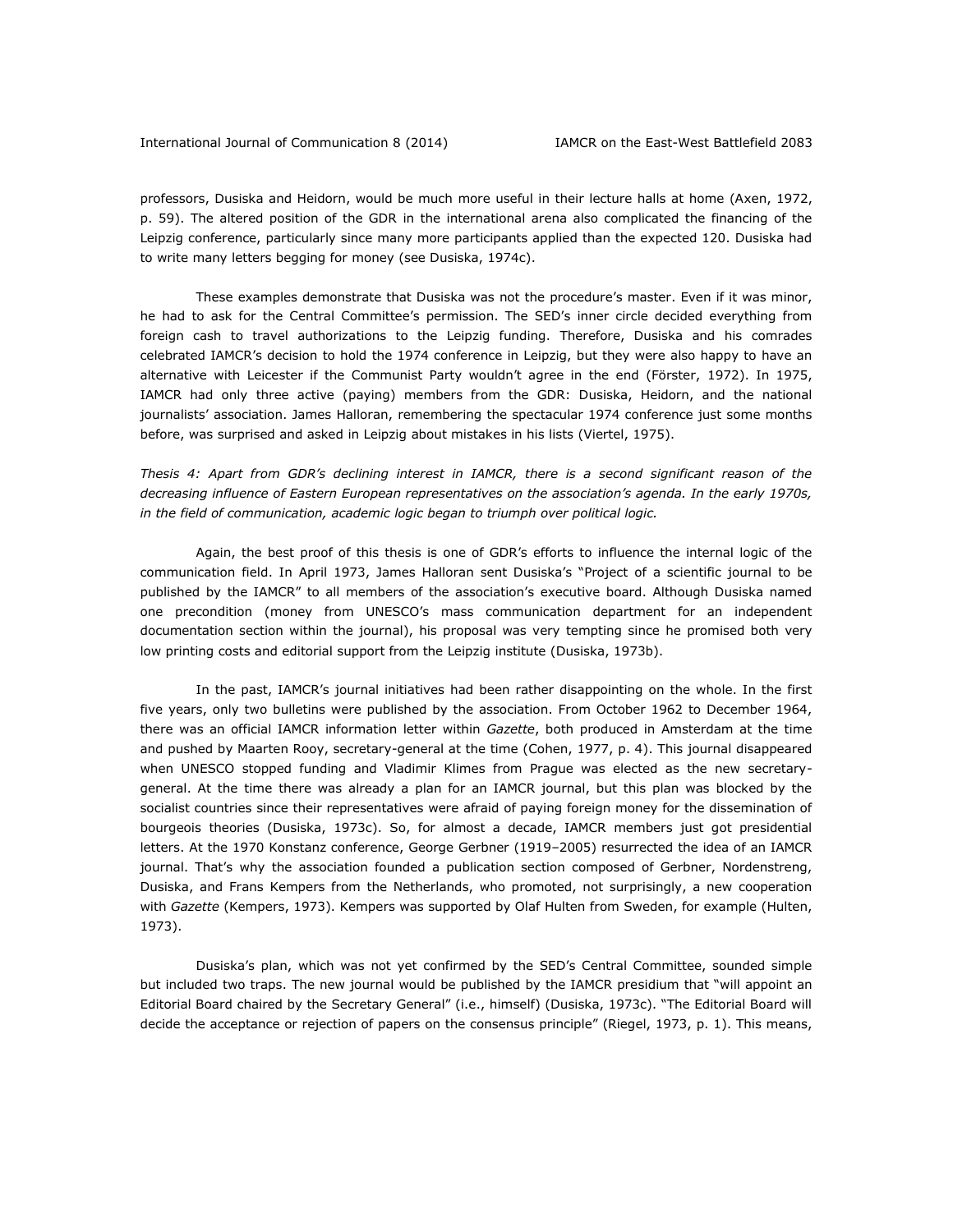professors, Dusiska and Heidorn, would be much more useful in their lecture halls at home (Axen, 1972, p. 59). The altered position of the GDR in the international arena also complicated the financing of the Leipzig conference, particularly since many more participants applied than the expected 120. Dusiska had to write many letters begging for money (see Dusiska, 1974c).

These examples demonstrate that Dusiska was not the procedure's master. Even if it was minor, he had to ask for the Central Committee's permission. The SED's inner circle decided everything from foreign cash to travel authorizations to the Leipzig funding. Therefore, Dusiska and his comrades celebrated IAMCR's decision to hold the 1974 conference in Leipzig, but they were also happy to have an alternative with Leicester if the Communist Party wouldn't agree in the end (Förster, 1972). In 1975, IAMCR had only three active (paying) members from the GDR: Dusiska, Heidorn, and the national journalists' association. James Halloran, remembering the spectacular 1974 conference just some months before, was surprised and asked in Leipzig about mistakes in his lists (Viertel, 1975).

*Thesis 4: Apart from GDR's declining interest in IAMCR, there is a second significant reason of the decreasing influence of Eastern European representatives on the association's agenda. In the early 1970s, in the field of communication, academic logic began to triumph over political logic.*

Again, the best proof of this thesis is one of GDR's efforts to influence the internal logic of the communication field. In April 1973, James Halloran sent Dusiska's "Project of a scientific journal to be published by the IAMCR" to all members of the association's executive board. Although Dusiska named one precondition (money from UNESCO's mass communication department for an independent documentation section within the journal), his proposal was very tempting since he promised both very low printing costs and editorial support from the Leipzig institute (Dusiska, 1973b).

In the past, IAMCR's journal initiatives had been rather disappointing on the whole. In the first five years, only two bulletins were published by the association. From October 1962 to December 1964, there was an official IAMCR information letter within *Gazette*, both produced in Amsterdam at the time and pushed by Maarten Rooy, secretary-general at the time (Cohen, 1977, p. 4). This journal disappeared when UNESCO stopped funding and Vladimir Klimes from Prague was elected as the new secretarygeneral. At the time there was already a plan for an IAMCR journal, but this plan was blocked by the socialist countries since their representatives were afraid of paying foreign money for the dissemination of bourgeois theories (Dusiska, 1973c). So, for almost a decade, IAMCR members just got presidential letters. At the 1970 Konstanz conference, George Gerbner (1919–2005) resurrected the idea of an IAMCR journal. That's why the association founded a publication section composed of Gerbner, Nordenstreng, Dusiska, and Frans Kempers from the Netherlands, who promoted, not surprisingly, a new cooperation with *Gazette* (Kempers, 1973). Kempers was supported by Olaf Hulten from Sweden, for example (Hulten, 1973).

Dusiska's plan, which was not yet confirmed by the SED's Central Committee, sounded simple but included two traps. The new journal would be published by the IAMCR presidium that "will appoint an Editorial Board chaired by the Secretary General" (i.e., himself) (Dusiska, 1973c). "The Editorial Board will decide the acceptance or rejection of papers on the consensus principle" (Riegel, 1973, p. 1). This means,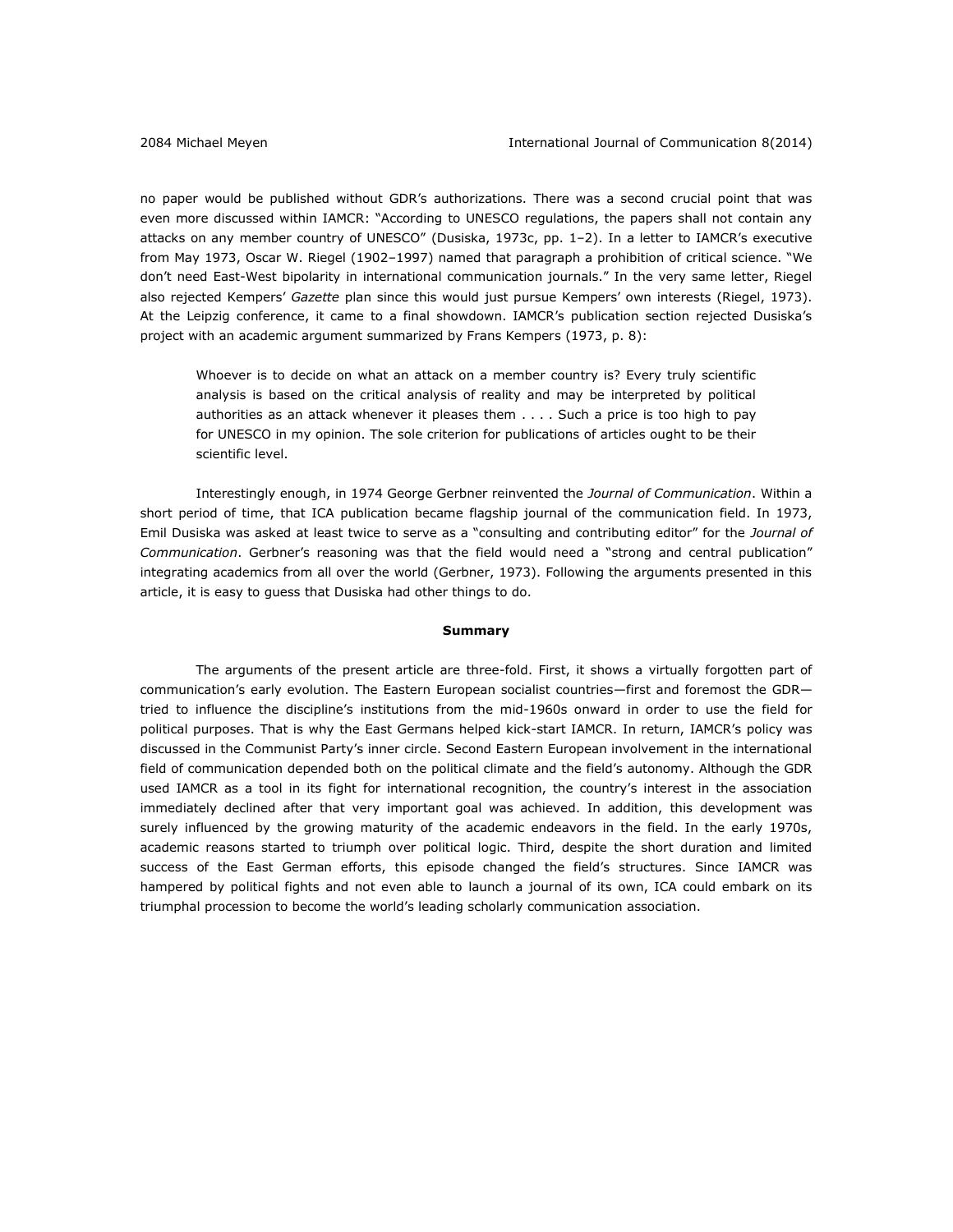no paper would be published without GDR's authorizations. There was a second crucial point that was even more discussed within IAMCR: "According to UNESCO regulations, the papers shall not contain any attacks on any member country of UNESCO" (Dusiska, 1973c, pp. 1–2). In a letter to IAMCR's executive from May 1973, Oscar W. Riegel (1902–1997) named that paragraph a prohibition of critical science. "We don't need East-West bipolarity in international communication journals." In the very same letter, Riegel also rejected Kempers' *Gazette* plan since this would just pursue Kempers' own interests (Riegel, 1973). At the Leipzig conference, it came to a final showdown. IAMCR's publication section rejected Dusiska's project with an academic argument summarized by Frans Kempers (1973, p. 8):

Whoever is to decide on what an attack on a member country is? Every truly scientific analysis is based on the critical analysis of reality and may be interpreted by political authorities as an attack whenever it pleases them . . . . Such a price is too high to pay for UNESCO in my opinion. The sole criterion for publications of articles ought to be their scientific level.

Interestingly enough, in 1974 George Gerbner reinvented the *Journal of Communication*. Within a short period of time, that ICA publication became flagship journal of the communication field. In 1973, Emil Dusiska was asked at least twice to serve as a "consulting and contributing editor" for the *Journal of Communication*. Gerbner's reasoning was that the field would need a "strong and central publication" integrating academics from all over the world (Gerbner, 1973). Following the arguments presented in this article, it is easy to guess that Dusiska had other things to do.

#### **Summary**

The arguments of the present article are three-fold. First, it shows a virtually forgotten part of communication's early evolution. The Eastern European socialist countries—first and foremost the GDR tried to influence the discipline's institutions from the mid-1960s onward in order to use the field for political purposes. That is why the East Germans helped kick-start IAMCR. In return, IAMCR's policy was discussed in the Communist Party's inner circle. Second Eastern European involvement in the international field of communication depended both on the political climate and the field's autonomy. Although the GDR used IAMCR as a tool in its fight for international recognition, the country's interest in the association immediately declined after that very important goal was achieved. In addition, this development was surely influenced by the growing maturity of the academic endeavors in the field. In the early 1970s, academic reasons started to triumph over political logic. Third, despite the short duration and limited success of the East German efforts, this episode changed the field's structures. Since IAMCR was hampered by political fights and not even able to launch a journal of its own, ICA could embark on its triumphal procession to become the world's leading scholarly communication association.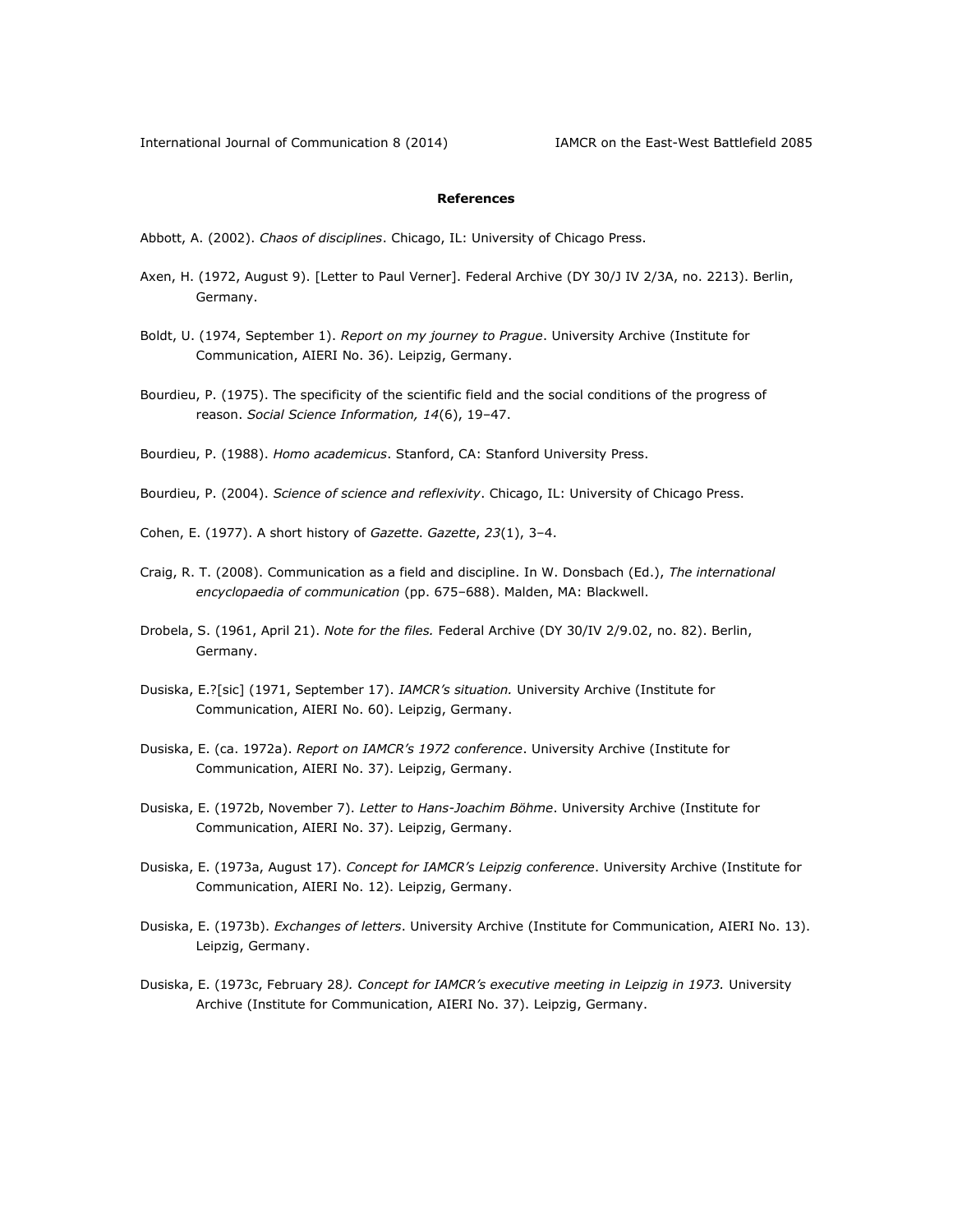## **References**

- Abbott, A. (2002). *Chaos of disciplines*. Chicago, IL: University of Chicago Press.
- Axen, H. (1972, August 9). [Letter to Paul Verner]. Federal Archive (DY 30/J IV 2/3A, no. 2213). Berlin, Germany.
- Boldt, U. (1974, September 1). *Report on my journey to Prague*. University Archive (Institute for Communication, AIERI No. 36). Leipzig, Germany.
- Bourdieu, P. (1975). The specificity of the scientific field and the social conditions of the progress of reason. *Social Science Information, 14*(6), 19–47.
- Bourdieu, P. (1988). *Homo academicus*. Stanford, CA: Stanford University Press.
- Bourdieu, P. (2004). *Science of science and reflexivity*. Chicago, IL: University of Chicago Press.
- Cohen, E. (1977). A short history of *Gazette*. *Gazette*, *23*(1), 3–4.
- Craig, R. T. (2008). Communication as a field and discipline. In W. Donsbach (Ed.), *The international encyclopaedia of communication* (pp. 675–688). Malden, MA: Blackwell.
- Drobela, S. (1961, April 21). *Note for the files.* Federal Archive (DY 30/IV 2/9.02, no. 82). Berlin, Germany.
- Dusiska, E.?[sic] (1971, September 17). *IAMCR's situation.* University Archive (Institute for Communication, AIERI No. 60). Leipzig, Germany.
- Dusiska, E. (ca. 1972a). *Report on IAMCR's 1972 conference*. University Archive (Institute for Communication, AIERI No. 37). Leipzig, Germany.
- Dusiska, E. (1972b, November 7). *Letter to Hans-Joachim Böhme*. University Archive (Institute for Communication, AIERI No. 37). Leipzig, Germany.
- Dusiska, E. (1973a, August 17). *Concept for IAMCR's Leipzig conference*. University Archive (Institute for Communication, AIERI No. 12). Leipzig, Germany.
- Dusiska, E. (1973b). *Exchanges of letters*. University Archive (Institute for Communication, AIERI No. 13). Leipzig, Germany.
- Dusiska, E. (1973c, February 28*). Concept for IAMCR's executive meeting in Leipzig in 1973.* University Archive (Institute for Communication, AIERI No. 37). Leipzig, Germany.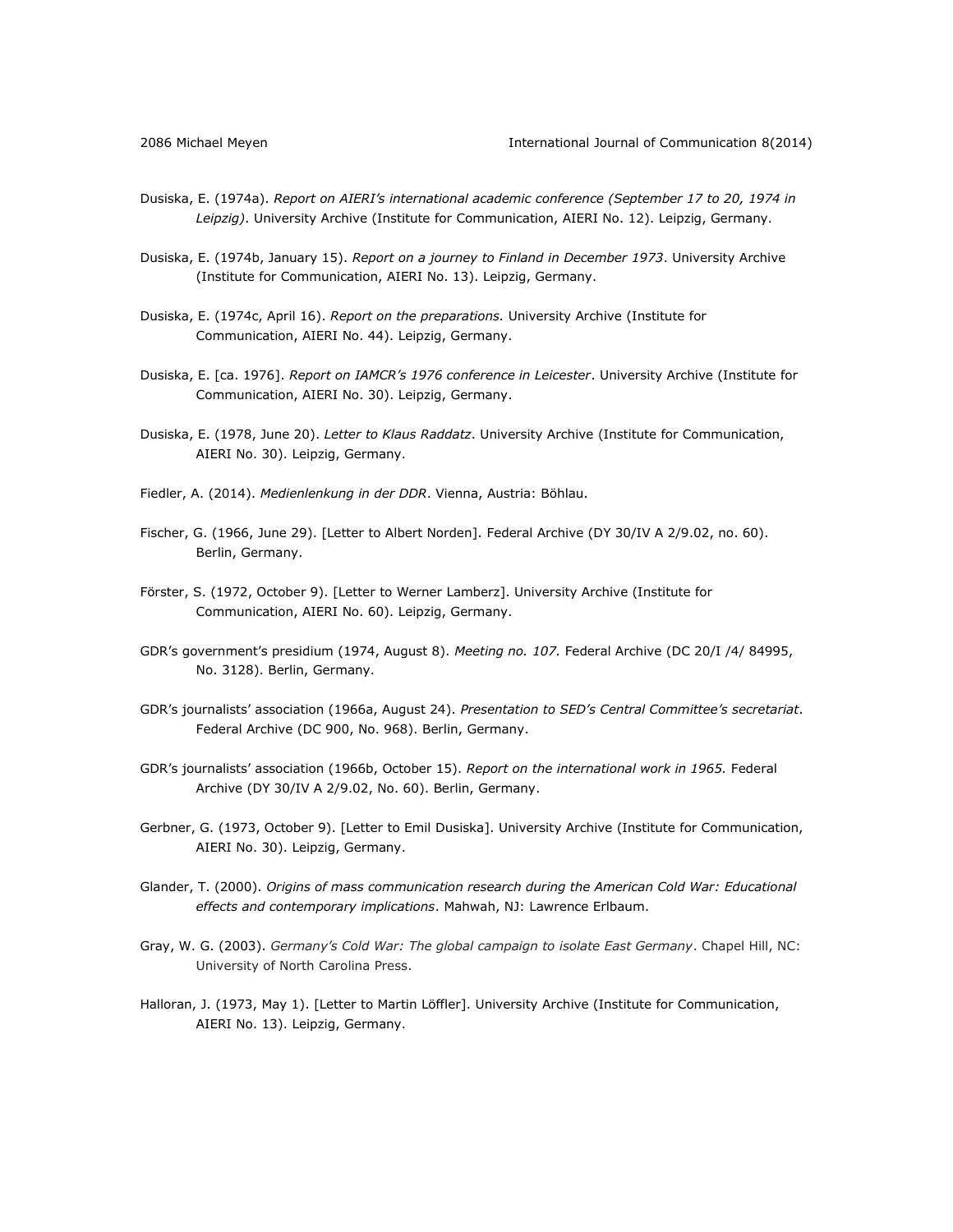- Dusiska, E. (1974a). *Report on AIERI's international academic conference (September 17 to 20, 1974 in Leipzig)*. University Archive (Institute for Communication, AIERI No. 12). Leipzig, Germany.
- Dusiska, E. (1974b, January 15). *Report on a journey to Finland in December 1973*. University Archive (Institute for Communication, AIERI No. 13). Leipzig, Germany.
- Dusiska, E. (1974c, April 16). *Report on the preparations.* University Archive (Institute for Communication, AIERI No. 44). Leipzig, Germany.
- Dusiska, E. [ca. 1976]. *Report on IAMCR's 1976 conference in Leicester*. University Archive (Institute for Communication, AIERI No. 30). Leipzig, Germany.
- Dusiska, E. (1978, June 20). *Letter to Klaus Raddatz*. University Archive (Institute for Communication, AIERI No. 30). Leipzig, Germany.
- Fiedler, A. (2014). *Medienlenkung in der DDR*. Vienna, Austria: Böhlau.
- Fischer, G. (1966, June 29). [Letter to Albert Norden]. Federal Archive (DY 30/IV A 2/9.02, no. 60). Berlin, Germany.
- Förster, S. (1972, October 9). [Letter to Werner Lamberz]. University Archive (Institute for Communication, AIERI No. 60). Leipzig, Germany.
- GDR's government's presidium (1974, August 8). *Meeting no. 107.* Federal Archive (DC 20/I /4/ 84995, No. 3128). Berlin, Germany.
- GDR's journalists' association (1966a, August 24). *Presentation to SED's Central Committee's secretariat*. Federal Archive (DC 900, No. 968). Berlin, Germany.
- GDR's journalists' association (1966b, October 15). *Report on the international work in 1965.* Federal Archive (DY 30/IV A 2/9.02, No. 60). Berlin, Germany.
- Gerbner, G. (1973, October 9). [Letter to Emil Dusiska]. University Archive (Institute for Communication, AIERI No. 30). Leipzig, Germany.
- Glander, T. (2000). *Origins of mass communication research during the American Cold War: Educational effects and contemporary implications*. Mahwah, NJ: Lawrence Erlbaum.
- Gray, W. G. (2003). *Germany's Cold War: The global campaign to isolate East Germany*. Chapel Hill, NC: University of North Carolina Press.
- Halloran, J. (1973, May 1). [Letter to Martin Löffler]. University Archive (Institute for Communication, AIERI No. 13). Leipzig, Germany.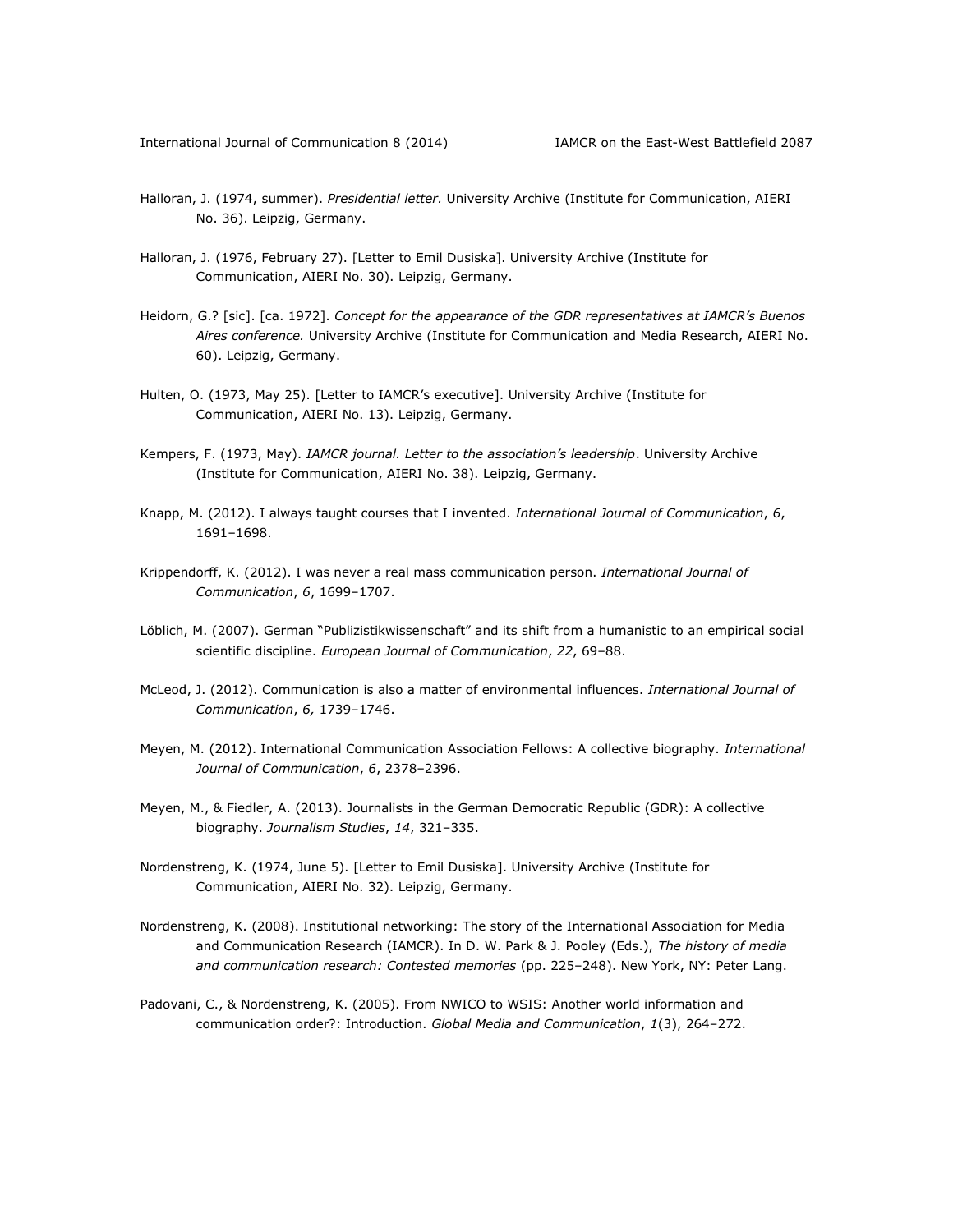- Halloran, J. (1974, summer). *Presidential letter.* University Archive (Institute for Communication, AIERI No. 36). Leipzig, Germany.
- Halloran, J. (1976, February 27). [Letter to Emil Dusiska]. University Archive (Institute for Communication, AIERI No. 30). Leipzig, Germany.
- Heidorn, G.? [sic]. [ca. 1972]. *Concept for the appearance of the GDR representatives at IAMCR's Buenos Aires conference.* University Archive (Institute for Communication and Media Research, AIERI No. 60). Leipzig, Germany.
- Hulten, O. (1973, May 25). [Letter to IAMCR's executive]. University Archive (Institute for Communication, AIERI No. 13). Leipzig, Germany.
- Kempers, F. (1973, May). *IAMCR journal. Letter to the association's leadership*. University Archive (Institute for Communication, AIERI No. 38). Leipzig, Germany.
- Knapp, M. (2012). I always taught courses that I invented. *International Journal of Communication*, *6*, 1691–1698.
- Krippendorff, K. (2012). I was never a real mass communication person. *International Journal of Communication*, *6*, 1699–1707.
- Löblich, M. (2007). German "Publizistikwissenschaft" and its shift from a humanistic to an empirical social scientific discipline. *European Journal of Communication*, *22*, 69–88.
- McLeod, J. (2012). Communication is also a matter of environmental influences. *International Journal of Communication*, *6,* 1739–1746.
- Meyen, M. (2012). International Communication Association Fellows: A collective biography. *International Journal of Communication*, *6*, 2378–2396.
- Meyen, M., & Fiedler, A. (2013). Journalists in the German Democratic Republic (GDR): A collective biography. *Journalism Studies*, *14*, 321–335.
- Nordenstreng, K. (1974, June 5). [Letter to Emil Dusiska]. University Archive (Institute for Communication, AIERI No. 32). Leipzig, Germany.
- Nordenstreng, K. (2008). Institutional networking: The story of the International Association for Media and Communication Research (IAMCR). In D. W. Park & J. Pooley (Eds.), *The history of media and communication research: Contested memories* (pp. 225–248). New York, NY: Peter Lang.
- Padovani, C., & Nordenstreng, K. (2005). From NWICO to WSIS: Another world information and communication order?: Introduction. *Global Media and Communication*, *1*(3), 264–272.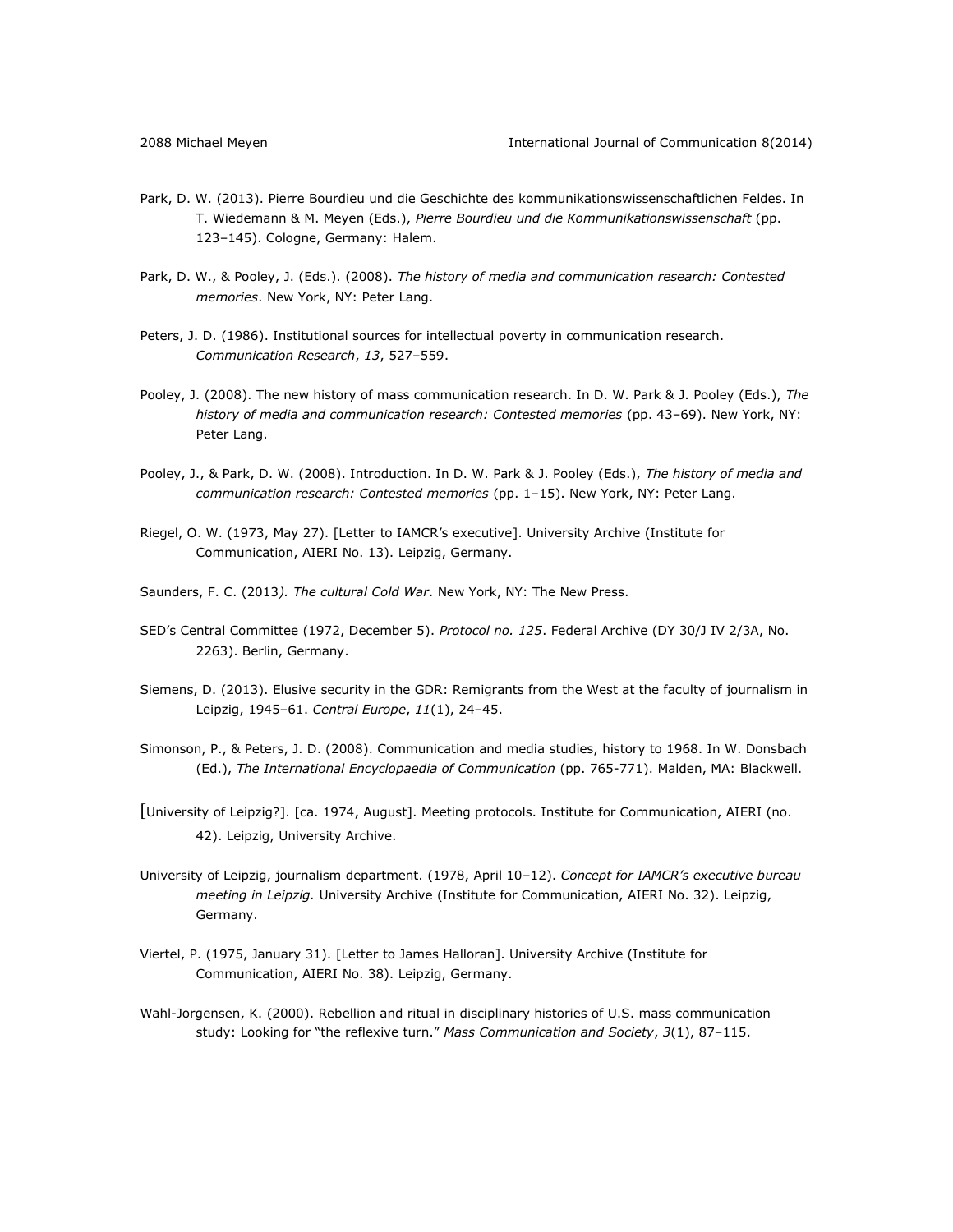- Park, D. W. (2013). Pierre Bourdieu und die Geschichte des kommunikationswissenschaftlichen Feldes. In T. Wiedemann & M. Meyen (Eds.), *Pierre Bourdieu und die Kommunikationswissenschaft* (pp. 123–145). Cologne, Germany: Halem.
- Park, D. W., & Pooley, J. (Eds.). (2008). *The history of media and communication research: Contested memories*. New York, NY: Peter Lang.
- Peters, J. D. (1986). Institutional sources for intellectual poverty in communication research. *Communication Research*, *13*, 527–559.
- Pooley, J. (2008). The new history of mass communication research. In D. W. Park & J. Pooley (Eds.), *The history of media and communication research: Contested memories* (pp. 43–69). New York, NY: Peter Lang.
- Pooley, J., & Park, D. W. (2008). Introduction. In D. W. Park & J. Pooley (Eds.), *The history of media and communication research: Contested memories* (pp. 1–15). New York, NY: Peter Lang.
- Riegel, O. W. (1973, May 27). [Letter to IAMCR's executive]. University Archive (Institute for Communication, AIERI No. 13). Leipzig, Germany.
- Saunders, F. C. (2013*). The cultural Cold War*. New York, NY: The New Press.
- SED's Central Committee (1972, December 5). *Protocol no. 125*. Federal Archive (DY 30/J IV 2/3A, No. 2263). Berlin, Germany.
- Siemens, D. (2013). Elusive security in the GDR: Remigrants from the West at the faculty of journalism in Leipzig, 1945–61. *Central Europe*, *11*(1), 24–45.
- Simonson, P., & Peters, J. D. (2008). Communication and media studies, history to 1968. In W. Donsbach (Ed.), *The International Encyclopaedia of Communication* (pp. 765-771). Malden, MA: Blackwell.
- [University of Leipzig?]. [ca. 1974, August]. Meeting protocols. Institute for Communication, AIERI (no. 42). Leipzig, University Archive.
- University of Leipzig, journalism department. (1978, April 10–12). *Concept for IAMCR's executive bureau meeting in Leipzig.* University Archive (Institute for Communication, AIERI No. 32). Leipzig, Germany.
- Viertel, P. (1975, January 31). [Letter to James Halloran]. University Archive (Institute for Communication, AIERI No. 38). Leipzig, Germany.
- Wahl-Jorgensen, K. (2000). Rebellion and ritual in disciplinary histories of U.S. mass communication study: Looking for "the reflexive turn." *Mass Communication and Society*, *3*(1), 87–115.